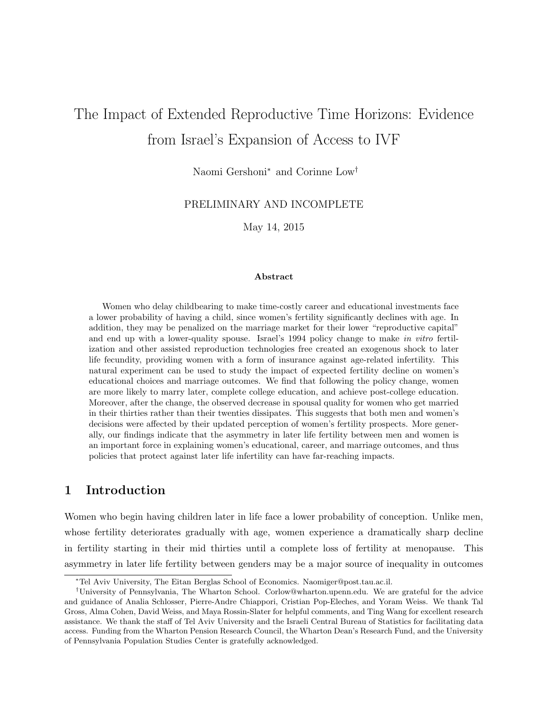# The Impact of Extended Reproductive Time Horizons: Evidence from Israel's Expansion of Access to IVF

Naomi Gershoni<sup>∗</sup> and Corinne Low†

PRELIMINARY AND INCOMPLETE

May 14, 2015

#### Abstract

Women who delay childbearing to make time-costly career and educational investments face a lower probability of having a child, since women's fertility significantly declines with age. In addition, they may be penalized on the marriage market for their lower "reproductive capital" and end up with a lower-quality spouse. Israel's 1994 policy change to make in vitro fertilization and other assisted reproduction technologies free created an exogenous shock to later life fecundity, providing women with a form of insurance against age-related infertility. This natural experiment can be used to study the impact of expected fertility decline on women's educational choices and marriage outcomes. We find that following the policy change, women are more likely to marry later, complete college education, and achieve post-college education. Moreover, after the change, the observed decrease in spousal quality for women who get married in their thirties rather than their twenties dissipates. This suggests that both men and women's decisions were affected by their updated perception of women's fertility prospects. More generally, our findings indicate that the asymmetry in later life fertility between men and women is an important force in explaining women's educational, career, and marriage outcomes, and thus policies that protect against later life infertility can have far-reaching impacts.

## 1 Introduction

Women who begin having children later in life face a lower probability of conception. Unlike men, whose fertility deteriorates gradually with age, women experience a dramatically sharp decline in fertility starting in their mid thirties until a complete loss of fertility at menopause. This asymmetry in later life fertility between genders may be a major source of inequality in outcomes

<sup>∗</sup>Tel Aviv University, The Eitan Berglas School of Economics. Naomiger@post.tau.ac.il.

<sup>†</sup>University of Pennsylvania, The Wharton School. Corlow@wharton.upenn.edu. We are grateful for the advice and guidance of Analia Schlosser, Pierre-Andre Chiappori, Cristian Pop-Eleches, and Yoram Weiss. We thank Tal Gross, Alma Cohen, David Weiss, and Maya Rossin-Slater for helpful comments, and Ting Wang for excellent research assistance. We thank the staff of Tel Aviv University and the Israeli Central Bureau of Statistics for facilitating data access. Funding from the Wharton Pension Research Council, the Wharton Dean's Research Fund, and the University of Pennsylvania Population Studies Center is gratefully acknowledged.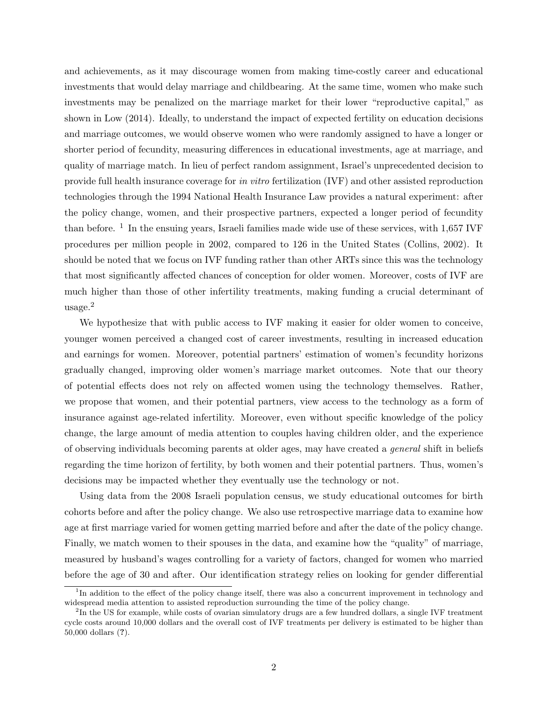and achievements, as it may discourage women from making time-costly career and educational investments that would delay marriage and childbearing. At the same time, women who make such investments may be penalized on the marriage market for their lower "reproductive capital," as shown in Low (2014). Ideally, to understand the impact of expected fertility on education decisions and marriage outcomes, we would observe women who were randomly assigned to have a longer or shorter period of fecundity, measuring differences in educational investments, age at marriage, and quality of marriage match. In lieu of perfect random assignment, Israel's unprecedented decision to provide full health insurance coverage for in vitro fertilization (IVF) and other assisted reproduction technologies through the 1994 National Health Insurance Law provides a natural experiment: after the policy change, women, and their prospective partners, expected a longer period of fecundity than before.<sup>1</sup> In the ensuing years, Israeli families made wide use of these services, with 1,657 IVF procedures per million people in 2002, compared to 126 in the United States (Collins, 2002). It should be noted that we focus on IVF funding rather than other ARTs since this was the technology that most significantly affected chances of conception for older women. Moreover, costs of IVF are much higher than those of other infertility treatments, making funding a crucial determinant of usage.<sup>2</sup>

We hypothesize that with public access to IVF making it easier for older women to conceive, younger women perceived a changed cost of career investments, resulting in increased education and earnings for women. Moreover, potential partners' estimation of women's fecundity horizons gradually changed, improving older women's marriage market outcomes. Note that our theory of potential effects does not rely on affected women using the technology themselves. Rather, we propose that women, and their potential partners, view access to the technology as a form of insurance against age-related infertility. Moreover, even without specific knowledge of the policy change, the large amount of media attention to couples having children older, and the experience of observing individuals becoming parents at older ages, may have created a general shift in beliefs regarding the time horizon of fertility, by both women and their potential partners. Thus, women's decisions may be impacted whether they eventually use the technology or not.

Using data from the 2008 Israeli population census, we study educational outcomes for birth cohorts before and after the policy change. We also use retrospective marriage data to examine how age at first marriage varied for women getting married before and after the date of the policy change. Finally, we match women to their spouses in the data, and examine how the "quality" of marriage, measured by husband's wages controlling for a variety of factors, changed for women who married before the age of 30 and after. Our identification strategy relies on looking for gender differential

<sup>&</sup>lt;sup>1</sup>In addition to the effect of the policy change itself, there was also a concurrent improvement in technology and widespread media attention to assisted reproduction surrounding the time of the policy change.

<sup>&</sup>lt;sup>2</sup>In the US for example, while costs of ovarian simulatory drugs are a few hundred dollars, a single IVF treatment cycle costs around 10,000 dollars and the overall cost of IVF treatments per delivery is estimated to be higher than 50,000 dollars (?).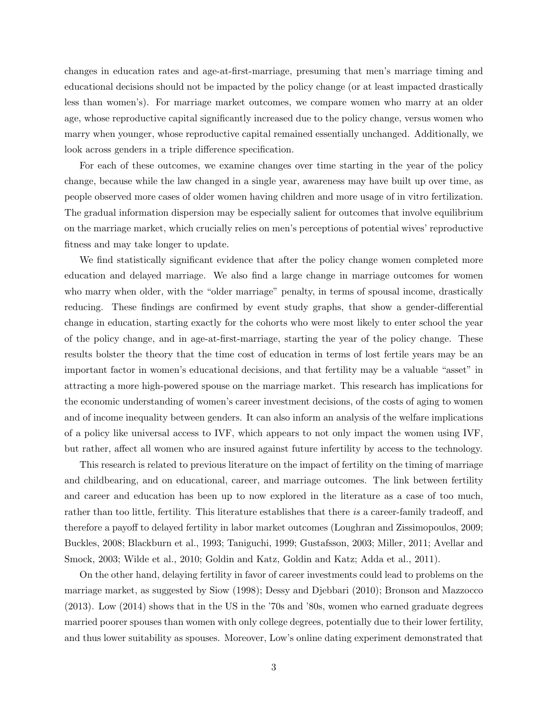changes in education rates and age-at-first-marriage, presuming that men's marriage timing and educational decisions should not be impacted by the policy change (or at least impacted drastically less than women's). For marriage market outcomes, we compare women who marry at an older age, whose reproductive capital significantly increased due to the policy change, versus women who marry when younger, whose reproductive capital remained essentially unchanged. Additionally, we look across genders in a triple difference specification.

For each of these outcomes, we examine changes over time starting in the year of the policy change, because while the law changed in a single year, awareness may have built up over time, as people observed more cases of older women having children and more usage of in vitro fertilization. The gradual information dispersion may be especially salient for outcomes that involve equilibrium on the marriage market, which crucially relies on men's perceptions of potential wives' reproductive fitness and may take longer to update.

We find statistically significant evidence that after the policy change women completed more education and delayed marriage. We also find a large change in marriage outcomes for women who marry when older, with the "older marriage" penalty, in terms of spousal income, drastically reducing. These findings are confirmed by event study graphs, that show a gender-differential change in education, starting exactly for the cohorts who were most likely to enter school the year of the policy change, and in age-at-first-marriage, starting the year of the policy change. These results bolster the theory that the time cost of education in terms of lost fertile years may be an important factor in women's educational decisions, and that fertility may be a valuable "asset" in attracting a more high-powered spouse on the marriage market. This research has implications for the economic understanding of women's career investment decisions, of the costs of aging to women and of income inequality between genders. It can also inform an analysis of the welfare implications of a policy like universal access to IVF, which appears to not only impact the women using IVF, but rather, affect all women who are insured against future infertility by access to the technology.

This research is related to previous literature on the impact of fertility on the timing of marriage and childbearing, and on educational, career, and marriage outcomes. The link between fertility and career and education has been up to now explored in the literature as a case of too much, rather than too little, fertility. This literature establishes that there is a career-family tradeoff, and therefore a payoff to delayed fertility in labor market outcomes (Loughran and Zissimopoulos, 2009; Buckles, 2008; Blackburn et al., 1993; Taniguchi, 1999; Gustafsson, 2003; Miller, 2011; Avellar and Smock, 2003; Wilde et al., 2010; Goldin and Katz, Goldin and Katz; Adda et al., 2011).

On the other hand, delaying fertility in favor of career investments could lead to problems on the marriage market, as suggested by Siow (1998); Dessy and Djebbari (2010); Bronson and Mazzocco (2013). Low (2014) shows that in the US in the '70s and '80s, women who earned graduate degrees married poorer spouses than women with only college degrees, potentially due to their lower fertility, and thus lower suitability as spouses. Moreover, Low's online dating experiment demonstrated that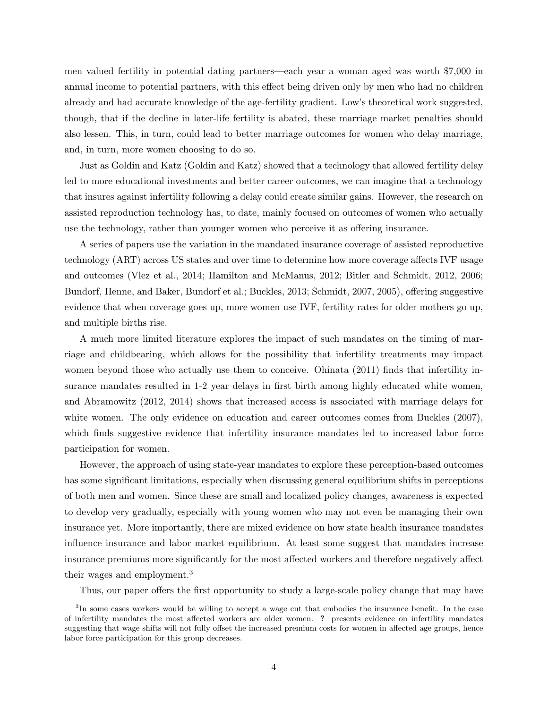men valued fertility in potential dating partners—each year a woman aged was worth \$7,000 in annual income to potential partners, with this effect being driven only by men who had no children already and had accurate knowledge of the age-fertility gradient. Low's theoretical work suggested, though, that if the decline in later-life fertility is abated, these marriage market penalties should also lessen. This, in turn, could lead to better marriage outcomes for women who delay marriage, and, in turn, more women choosing to do so.

Just as Goldin and Katz (Goldin and Katz) showed that a technology that allowed fertility delay led to more educational investments and better career outcomes, we can imagine that a technology that insures against infertility following a delay could create similar gains. However, the research on assisted reproduction technology has, to date, mainly focused on outcomes of women who actually use the technology, rather than younger women who perceive it as offering insurance.

A series of papers use the variation in the mandated insurance coverage of assisted reproductive technology (ART) across US states and over time to determine how more coverage affects IVF usage and outcomes (Vlez et al., 2014; Hamilton and McManus, 2012; Bitler and Schmidt, 2012, 2006; Bundorf, Henne, and Baker, Bundorf et al.; Buckles, 2013; Schmidt, 2007, 2005), offering suggestive evidence that when coverage goes up, more women use IVF, fertility rates for older mothers go up, and multiple births rise.

A much more limited literature explores the impact of such mandates on the timing of marriage and childbearing, which allows for the possibility that infertility treatments may impact women beyond those who actually use them to conceive. Ohinata (2011) finds that infertility insurance mandates resulted in 1-2 year delays in first birth among highly educated white women, and Abramowitz (2012, 2014) shows that increased access is associated with marriage delays for white women. The only evidence on education and career outcomes comes from Buckles (2007), which finds suggestive evidence that infertility insurance mandates led to increased labor force participation for women.

However, the approach of using state-year mandates to explore these perception-based outcomes has some significant limitations, especially when discussing general equilibrium shifts in perceptions of both men and women. Since these are small and localized policy changes, awareness is expected to develop very gradually, especially with young women who may not even be managing their own insurance yet. More importantly, there are mixed evidence on how state health insurance mandates influence insurance and labor market equilibrium. At least some suggest that mandates increase insurance premiums more significantly for the most affected workers and therefore negatively affect their wages and employment.<sup>3</sup>

Thus, our paper offers the first opportunity to study a large-scale policy change that may have

<sup>&</sup>lt;sup>3</sup>In some cases workers would be willing to accept a wage cut that embodies the insurance benefit. In the case of infertility mandates the most affected workers are older women. ? presents evidence on infertility mandates suggesting that wage shifts will not fully offset the increased premium costs for women in affected age groups, hence labor force participation for this group decreases.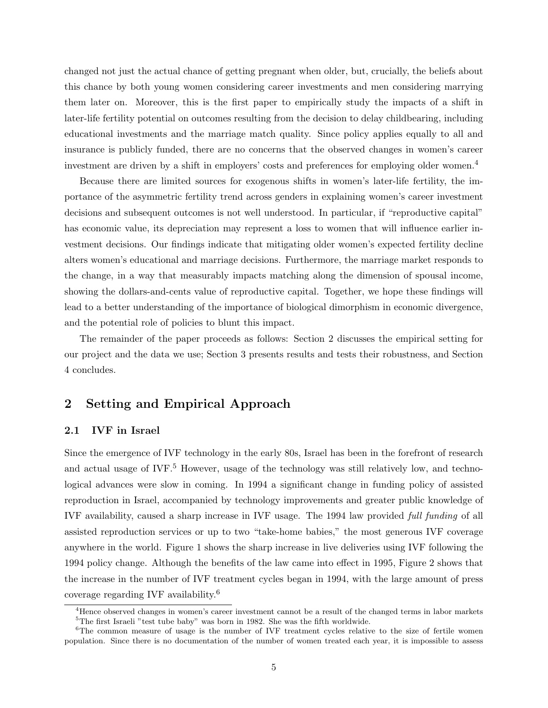changed not just the actual chance of getting pregnant when older, but, crucially, the beliefs about this chance by both young women considering career investments and men considering marrying them later on. Moreover, this is the first paper to empirically study the impacts of a shift in later-life fertility potential on outcomes resulting from the decision to delay childbearing, including educational investments and the marriage match quality. Since policy applies equally to all and insurance is publicly funded, there are no concerns that the observed changes in women's career investment are driven by a shift in employers' costs and preferences for employing older women.<sup>4</sup>

Because there are limited sources for exogenous shifts in women's later-life fertility, the importance of the asymmetric fertility trend across genders in explaining women's career investment decisions and subsequent outcomes is not well understood. In particular, if "reproductive capital" has economic value, its depreciation may represent a loss to women that will influence earlier investment decisions. Our findings indicate that mitigating older women's expected fertility decline alters women's educational and marriage decisions. Furthermore, the marriage market responds to the change, in a way that measurably impacts matching along the dimension of spousal income, showing the dollars-and-cents value of reproductive capital. Together, we hope these findings will lead to a better understanding of the importance of biological dimorphism in economic divergence, and the potential role of policies to blunt this impact.

The remainder of the paper proceeds as follows: Section 2 discusses the empirical setting for our project and the data we use; Section 3 presents results and tests their robustness, and Section 4 concludes.

# 2 Setting and Empirical Approach

#### 2.1 IVF in Israel

Since the emergence of IVF technology in the early 80s, Israel has been in the forefront of research and actual usage of IVF.<sup>5</sup> However, usage of the technology was still relatively low, and technological advances were slow in coming. In 1994 a significant change in funding policy of assisted reproduction in Israel, accompanied by technology improvements and greater public knowledge of IVF availability, caused a sharp increase in IVF usage. The 1994 law provided full funding of all assisted reproduction services or up to two "take-home babies," the most generous IVF coverage anywhere in the world. Figure 1 shows the sharp increase in live deliveries using IVF following the 1994 policy change. Although the benefits of the law came into effect in 1995, Figure 2 shows that the increase in the number of IVF treatment cycles began in 1994, with the large amount of press coverage regarding IVF availability.<sup>6</sup>

<sup>&</sup>lt;sup>4</sup>Hence observed changes in women's career investment cannot be a result of the changed terms in labor markets <sup>5</sup>The first Israeli "test tube baby" was born in 1982. She was the fifth worldwide.

<sup>&</sup>lt;sup>6</sup>The common measure of usage is the number of IVF treatment cycles relative to the size of fertile women population. Since there is no documentation of the number of women treated each year, it is impossible to assess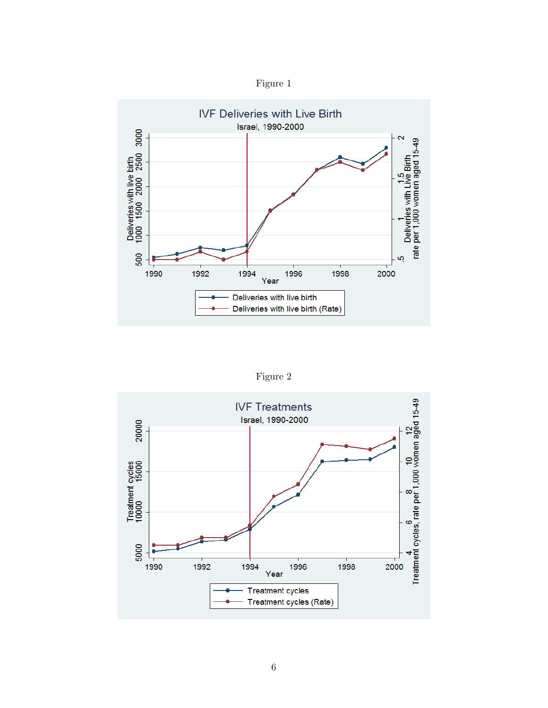



Figure 2

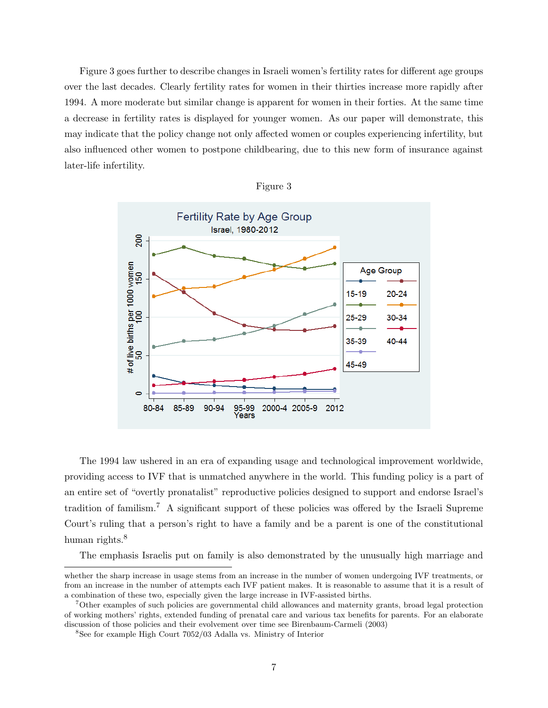Figure 3 goes further to describe changes in Israeli women's fertility rates for different age groups over the last decades. Clearly fertility rates for women in their thirties increase more rapidly after 1994. A more moderate but similar change is apparent for women in their forties. At the same time a decrease in fertility rates is displayed for younger women. As our paper will demonstrate, this may indicate that the policy change not only affected women or couples experiencing infertility, but also influenced other women to postpone childbearing, due to this new form of insurance against later-life infertility.

| Figure | ר |
|--------|---|
|        |   |



The 1994 law ushered in an era of expanding usage and technological improvement worldwide, providing access to IVF that is unmatched anywhere in the world. This funding policy is a part of an entire set of "overtly pronatalist" reproductive policies designed to support and endorse Israel's tradition of familism.<sup>7</sup> A significant support of these policies was offered by the Israeli Supreme Court's ruling that a person's right to have a family and be a parent is one of the constitutional human rights.<sup>8</sup>

The emphasis Israelis put on family is also demonstrated by the unusually high marriage and

whether the sharp increase in usage stems from an increase in the number of women undergoing IVF treatments, or from an increase in the number of attempts each IVF patient makes. It is reasonable to assume that it is a result of a combination of these two, especially given the large increase in IVF-assisted births.

<sup>7</sup>Other examples of such policies are governmental child allowances and maternity grants, broad legal protection of working mothers' rights, extended funding of prenatal care and various tax benefits for parents. For an elaborate discussion of those policies and their evolvement over time see Birenbaum-Carmeli (2003)

<sup>8</sup>See for example High Court 7052/03 Adalla vs. Ministry of Interior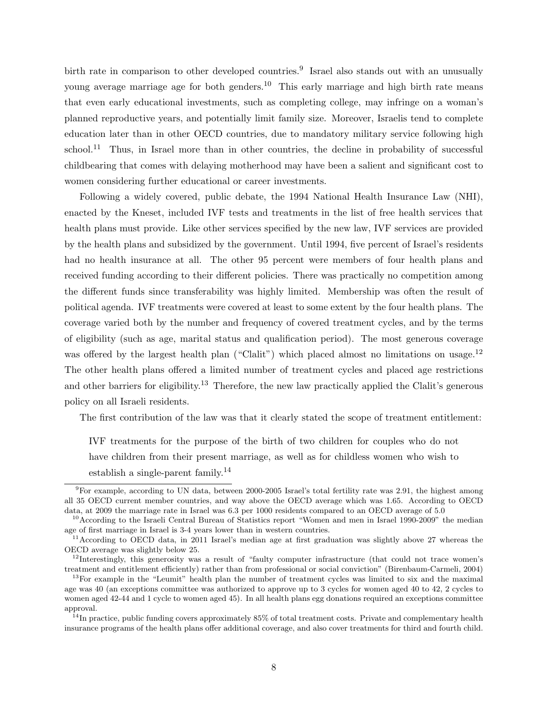birth rate in comparison to other developed countries.<sup>9</sup> Israel also stands out with an unusually young average marriage age for both genders.<sup>10</sup> This early marriage and high birth rate means that even early educational investments, such as completing college, may infringe on a woman's planned reproductive years, and potentially limit family size. Moreover, Israelis tend to complete education later than in other OECD countries, due to mandatory military service following high school.<sup>11</sup> Thus, in Israel more than in other countries, the decline in probability of successful childbearing that comes with delaying motherhood may have been a salient and significant cost to women considering further educational or career investments.

Following a widely covered, public debate, the 1994 National Health Insurance Law (NHI), enacted by the Kneset, included IVF tests and treatments in the list of free health services that health plans must provide. Like other services specified by the new law, IVF services are provided by the health plans and subsidized by the government. Until 1994, five percent of Israel's residents had no health insurance at all. The other 95 percent were members of four health plans and received funding according to their different policies. There was practically no competition among the different funds since transferability was highly limited. Membership was often the result of political agenda. IVF treatments were covered at least to some extent by the four health plans. The coverage varied both by the number and frequency of covered treatment cycles, and by the terms of eligibility (such as age, marital status and qualification period). The most generous coverage was offered by the largest health plan ("Clalit") which placed almost no limitations on usage.<sup>12</sup> The other health plans offered a limited number of treatment cycles and placed age restrictions and other barriers for eligibility.<sup>13</sup> Therefore, the new law practically applied the Clalit's generous policy on all Israeli residents.

The first contribution of the law was that it clearly stated the scope of treatment entitlement:

IVF treatments for the purpose of the birth of two children for couples who do not have children from their present marriage, as well as for childless women who wish to establish a single-parent family.<sup>14</sup>

<sup>9</sup>For example, according to UN data, between 2000-2005 Israel's total fertility rate was 2.91, the highest among all 35 OECD current member countries, and way above the OECD average which was 1.65. According to OECD data, at 2009 the marriage rate in Israel was 6.3 per 1000 residents compared to an OECD average of 5.0

<sup>&</sup>lt;sup>10</sup>According to the Israeli Central Bureau of Statistics report "Women and men in Israel 1990-2009" the median age of first marriage in Israel is 3-4 years lower than in western countries.

<sup>&</sup>lt;sup>11</sup> According to OECD data, in 2011 Israel's median age at first graduation was slightly above 27 whereas the OECD average was slightly below 25.

 $12$ Interestingly, this generosity was a result of "faulty computer infrastructure (that could not trace women's treatment and entitlement efficiently) rather than from professional or social conviction" (Birenbaum-Carmeli, 2004)

<sup>&</sup>lt;sup>13</sup>For example in the "Leumit" health plan the number of treatment cycles was limited to six and the maximal age was 40 (an exceptions committee was authorized to approve up to 3 cycles for women aged 40 to 42, 2 cycles to women aged 42-44 and 1 cycle to women aged 45). In all health plans egg donations required an exceptions committee approval.

 $14$ In practice, public funding covers approximately 85% of total treatment costs. Private and complementary health insurance programs of the health plans offer additional coverage, and also cover treatments for third and fourth child.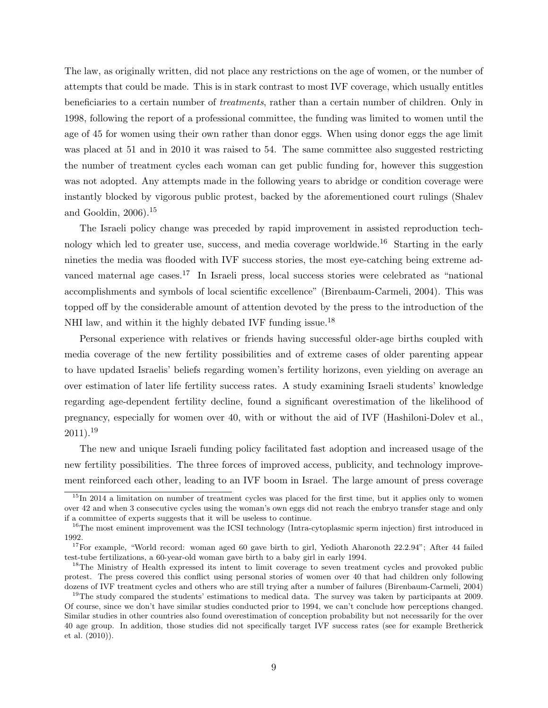The law, as originally written, did not place any restrictions on the age of women, or the number of attempts that could be made. This is in stark contrast to most IVF coverage, which usually entitles beneficiaries to a certain number of treatments, rather than a certain number of children. Only in 1998, following the report of a professional committee, the funding was limited to women until the age of 45 for women using their own rather than donor eggs. When using donor eggs the age limit was placed at 51 and in 2010 it was raised to 54. The same committee also suggested restricting the number of treatment cycles each woman can get public funding for, however this suggestion was not adopted. Any attempts made in the following years to abridge or condition coverage were instantly blocked by vigorous public protest, backed by the aforementioned court rulings (Shalev and Gooldin,  $2006$ ).<sup>15</sup>

The Israeli policy change was preceded by rapid improvement in assisted reproduction technology which led to greater use, success, and media coverage worldwide.<sup>16</sup> Starting in the early nineties the media was flooded with IVF success stories, the most eye-catching being extreme advanced maternal age cases.<sup>17</sup> In Israeli press, local success stories were celebrated as "national accomplishments and symbols of local scientific excellence" (Birenbaum-Carmeli, 2004). This was topped off by the considerable amount of attention devoted by the press to the introduction of the NHI law, and within it the highly debated IVF funding issue.<sup>18</sup>

Personal experience with relatives or friends having successful older-age births coupled with media coverage of the new fertility possibilities and of extreme cases of older parenting appear to have updated Israelis' beliefs regarding women's fertility horizons, even yielding on average an over estimation of later life fertility success rates. A study examining Israeli students' knowledge regarding age-dependent fertility decline, found a significant overestimation of the likelihood of pregnancy, especially for women over 40, with or without the aid of IVF (Hashiloni-Dolev et al.,  $2011$ ).<sup>19</sup>

The new and unique Israeli funding policy facilitated fast adoption and increased usage of the new fertility possibilities. The three forces of improved access, publicity, and technology improvement reinforced each other, leading to an IVF boom in Israel. The large amount of press coverage

 $15$ In 2014 a limitation on number of treatment cycles was placed for the first time, but it applies only to women over 42 and when 3 consecutive cycles using the woman's own eggs did not reach the embryo transfer stage and only if a committee of experts suggests that it will be useless to continue.

<sup>&</sup>lt;sup>16</sup>The most eminent improvement was the ICSI technology (Intra-cytoplasmic sperm injection) first introduced in 1992.

<sup>&</sup>lt;sup>17</sup>For example, "World record: woman aged 60 gave birth to girl, Yedioth Aharonoth 22.2.94"; After 44 failed test-tube fertilizations, a 60-year-old woman gave birth to a baby girl in early 1994.

<sup>&</sup>lt;sup>18</sup>The Ministry of Health expressed its intent to limit coverage to seven treatment cycles and provoked public protest. The press covered this conflict using personal stories of women over 40 that had children only following dozens of IVF treatment cycles and others who are still trying after a number of failures (Birenbaum-Carmeli, 2004)

<sup>&</sup>lt;sup>19</sup>The study compared the students' estimations to medical data. The survey was taken by participants at 2009. Of course, since we don't have similar studies conducted prior to 1994, we can't conclude how perceptions changed. Similar studies in other countries also found overestimation of conception probability but not necessarily for the over 40 age group. In addition, those studies did not specifically target IVF success rates (see for example Bretherick et al. (2010)).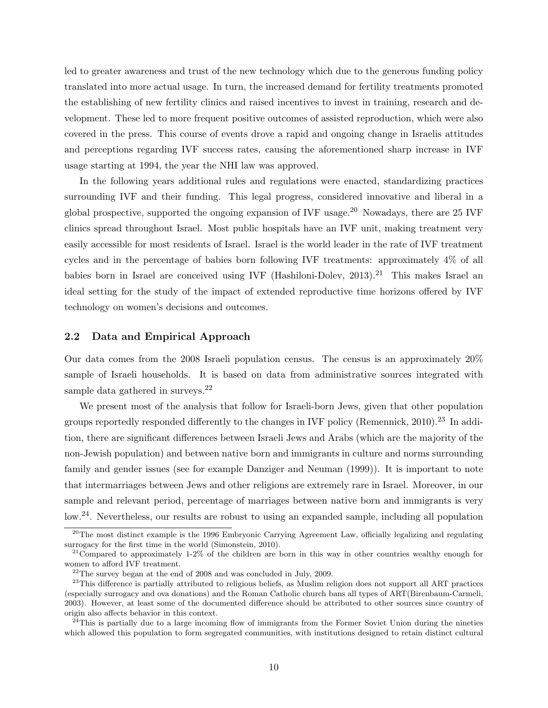led to greater awareness and trust of the new technology which due to the generous funding policy translated into more actual usage. In turn, the increased demand for fertility treatments promoted the establishing of new fertility clinics and raised incentives to invest in training, research and development. These led to more frequent positive outcomes of assisted reproduction, which were also covered in the press. This course of events drove a rapid and ongoing change in Israelis attitudes and perceptions regarding IVF success rates, causing the aforementioned sharp increase in IVF usage starting at 1994, the year the NHI law was approved.

In the following years additional rules and regulations were enacted, standardizing practices surrounding IVF and their funding. This legal progress, considered innovative and liberal in a global prospective, supported the ongoing expansion of IVF usage.<sup>20</sup> Nowadays, there are 25 IVF clinics spread throughout Israel. Most public hospitals have an IVF unit, making treatment very easily accessible for most residents of Israel. Israel is the world leader in the rate of IVF treatment cycles and in the percentage of babies born following IVF treatments: approximately 4% of all babies born in Israel are conceived using IVF (Hashiloni-Dolev,  $2013$ ).<sup>21</sup> This makes Israel an ideal setting for the study of the impact of extended reproductive time horizons offered by IVF technology on women's decisions and outcomes.

#### 2.2 Data and Empirical Approach

Our data comes from the 2008 Israeli population census. The census is an approximately 20% sample of Israeli households. It is based on data from administrative sources integrated with sample data gathered in surveys.<sup>22</sup>

We present most of the analysis that follow for Israeli-born Jews, given that other population groups reportedly responded differently to the changes in IVF policy (Remennick, 2010).<sup>23</sup> In addition, there are significant differences between Israeli Jews and Arabs (which are the majority of the non-Jewish population) and between native born and immigrants in culture and norms surrounding family and gender issues (see for example Danziger and Neuman (1999)). It is important to note that intermarriages between Jews and other religions are extremely rare in Israel. Moreover, in our sample and relevant period, percentage of marriages between native born and immigrants is very low.<sup>24</sup>. Nevertheless, our results are robust to using an expanded sample, including all population

<sup>&</sup>lt;sup>20</sup>The most distinct example is the 1996 Embryonic Carrying Agreement Law, officially legalizing and regulating surrogacy for the first time in the world (Simonstein, 2010).

<sup>&</sup>lt;sup>21</sup>Compared to approximately 1-2% of the children are born in this way in other countries wealthy enough for women to afford IVF treatment.

 $22$ The survey began at the end of 2008 and was concluded in July, 2009.

 $23$ This difference is partially attributed to religious beliefs, as Muslim religion does not support all ART practices (especially surrogacy and ova donations) and the Roman Catholic church bans all types of ART(Birenbaum-Carmeli, 2003). However, at least some of the documented difference should be attributed to other sources since country of origin also affects behavior in this context.

 $^{24}$ This is partially due to a large incoming flow of immigrants from the Former Soviet Union during the nineties which allowed this population to form segregated communities, with institutions designed to retain distinct cultural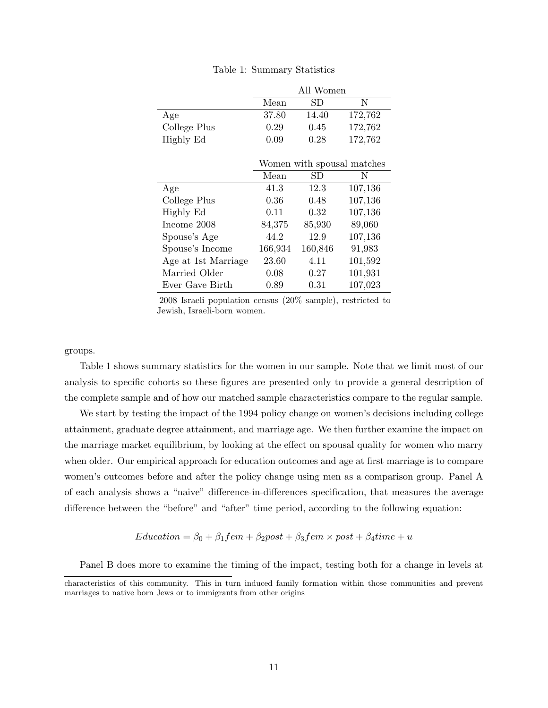|                     | All Women |         |                            |  |  |  |
|---------------------|-----------|---------|----------------------------|--|--|--|
|                     | Mean      | SD      | N                          |  |  |  |
| Age                 | 37.80     | 14.40   | 172,762                    |  |  |  |
| College Plus        | 0.29      | 0.45    | 172,762                    |  |  |  |
| Highly Ed           | 0.09      | 0.28    | 172,762                    |  |  |  |
|                     |           |         |                            |  |  |  |
|                     |           |         | Women with spousal matches |  |  |  |
|                     | Mean      | SD      | Ν                          |  |  |  |
| Age                 | 41.3      | 12.3    | 107,136                    |  |  |  |
| College Plus        | 0.36      | 0.48    | 107,136                    |  |  |  |
| Highly Ed           | 0.11      | 0.32    | 107,136                    |  |  |  |
| Income 2008         | 84,375    | 85,930  | 89,060                     |  |  |  |
| Spouse's Age        | 44.2      | 12.9    | 107,136                    |  |  |  |
| Spouse's Income     | 166,934   | 160,846 | 91,983                     |  |  |  |
| Age at 1st Marriage | 23.60     | 4.11    | 101,592                    |  |  |  |
| Married Older       | 0.08      | 0.27    | 101,931                    |  |  |  |
| Ever Gave Birth     | 0.89      | 0.31    | 107,023                    |  |  |  |

Table 1: Summary Statistics

2008 Israeli population census (20% sample), restricted to Jewish, Israeli-born women.

#### groups.

Table 1 shows summary statistics for the women in our sample. Note that we limit most of our analysis to specific cohorts so these figures are presented only to provide a general description of the complete sample and of how our matched sample characteristics compare to the regular sample.

We start by testing the impact of the 1994 policy change on women's decisions including college attainment, graduate degree attainment, and marriage age. We then further examine the impact on the marriage market equilibrium, by looking at the effect on spousal quality for women who marry when older. Our empirical approach for education outcomes and age at first marriage is to compare women's outcomes before and after the policy change using men as a comparison group. Panel A of each analysis shows a "naive" difference-in-differences specification, that measures the average difference between the "before" and "after" time period, according to the following equation:

$$
Education = \beta_0 + \beta_1 fem + \beta_2 post + \beta_3 fem \times post + \beta_4 time + u
$$

Panel B does more to examine the timing of the impact, testing both for a change in levels at

characteristics of this community. This in turn induced family formation within those communities and prevent marriages to native born Jews or to immigrants from other origins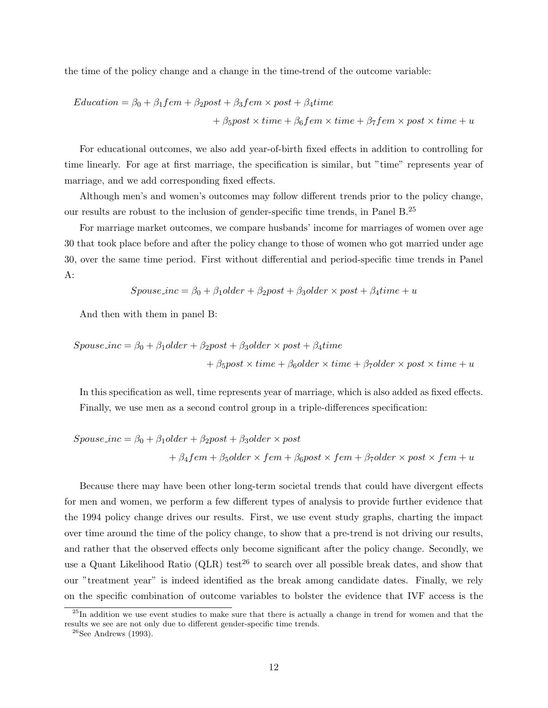the time of the policy change and a change in the time-trend of the outcome variable:

$$
Education = \beta_0 + \beta_1 fem + \beta_2 post + \beta_3 fem \times post + \beta_4 time
$$
  
+  $\beta_5 post \times time + \beta_6 fem \times time + \beta_7 fem \times post \times time + u$ 

For educational outcomes, we also add year-of-birth fixed effects in addition to controlling for time linearly. For age at first marriage, the specification is similar, but "time" represents year of marriage, and we add corresponding fixed effects.

Although men's and women's outcomes may follow different trends prior to the policy change, our results are robust to the inclusion of gender-specific time trends, in Panel B.<sup>25</sup>

For marriage market outcomes, we compare husbands' income for marriages of women over age 30 that took place before and after the policy change to those of women who got married under age 30, over the same time period. First without differential and period-specific time trends in Panel A:

$$
Spouse\_inc = \beta_0 + \beta_1 older + \beta_2 post + \beta_3 older \times post + \beta_4 time + u
$$

And then with them in panel B:

$$
Spouse\_inc = \beta_0 + \beta_1 older + \beta_2 post + \beta_3 older \times post + \beta_4 time + \beta_5 post \times time + \beta_6 older \times time + \beta_7 older \times post \times time + u
$$

In this specification as well, time represents year of marriage, which is also added as fixed effects. Finally, we use men as a second control group in a triple-differences specification:

$$
Spouse\_inc = \beta_0 + \beta_1 older + \beta_2 post + \beta_3 older \times post
$$
  
+  $\beta_4 fem + \beta_5 older \times fem + \beta_6 post \times fem + \beta_7 older \times post \times fem + u$ 

Because there may have been other long-term societal trends that could have divergent effects for men and women, we perform a few different types of analysis to provide further evidence that the 1994 policy change drives our results. First, we use event study graphs, charting the impact over time around the time of the policy change, to show that a pre-trend is not driving our results, and rather that the observed effects only become significant after the policy change. Secondly, we use a Quant Likelihood Ratio  $(QLR)$  test<sup>26</sup> to search over all possible break dates, and show that our "treatment year" is indeed identified as the break among candidate dates. Finally, we rely on the specific combination of outcome variables to bolster the evidence that IVF access is the

<sup>&</sup>lt;sup>25</sup>In addition we use event studies to make sure that there is actually a change in trend for women and that the results we see are not only due to different gender-specific time trends.

 $26$ See Andrews (1993).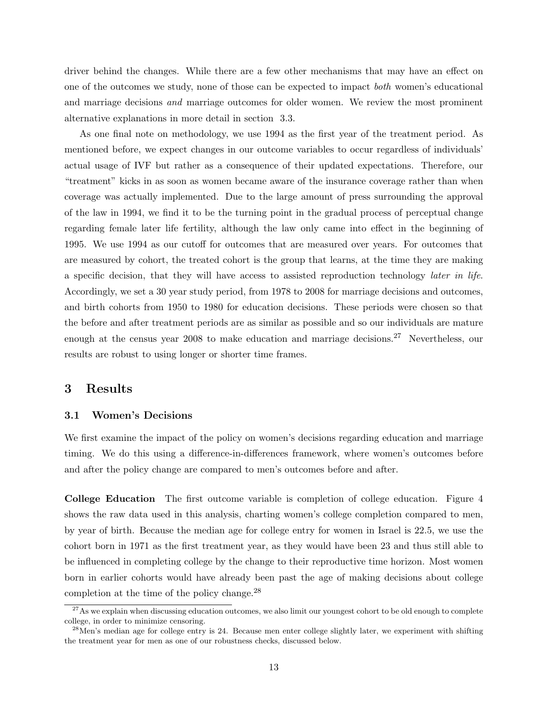driver behind the changes. While there are a few other mechanisms that may have an effect on one of the outcomes we study, none of those can be expected to impact both women's educational and marriage decisions and marriage outcomes for older women. We review the most prominent alternative explanations in more detail in section 3.3.

As one final note on methodology, we use 1994 as the first year of the treatment period. As mentioned before, we expect changes in our outcome variables to occur regardless of individuals' actual usage of IVF but rather as a consequence of their updated expectations. Therefore, our "treatment" kicks in as soon as women became aware of the insurance coverage rather than when coverage was actually implemented. Due to the large amount of press surrounding the approval of the law in 1994, we find it to be the turning point in the gradual process of perceptual change regarding female later life fertility, although the law only came into effect in the beginning of 1995. We use 1994 as our cutoff for outcomes that are measured over years. For outcomes that are measured by cohort, the treated cohort is the group that learns, at the time they are making a specific decision, that they will have access to assisted reproduction technology later in life. Accordingly, we set a 30 year study period, from 1978 to 2008 for marriage decisions and outcomes, and birth cohorts from 1950 to 1980 for education decisions. These periods were chosen so that the before and after treatment periods are as similar as possible and so our individuals are mature enough at the census year 2008 to make education and marriage decisions.<sup>27</sup> Nevertheless, our results are robust to using longer or shorter time frames.

# 3 Results

#### 3.1 Women's Decisions

We first examine the impact of the policy on women's decisions regarding education and marriage timing. We do this using a difference-in-differences framework, where women's outcomes before and after the policy change are compared to men's outcomes before and after.

College Education The first outcome variable is completion of college education. Figure 4 shows the raw data used in this analysis, charting women's college completion compared to men, by year of birth. Because the median age for college entry for women in Israel is 22.5, we use the cohort born in 1971 as the first treatment year, as they would have been 23 and thus still able to be influenced in completing college by the change to their reproductive time horizon. Most women born in earlier cohorts would have already been past the age of making decisions about college completion at the time of the policy change.<sup>28</sup>

 $27$ As we explain when discussing education outcomes, we also limit our youngest cohort to be old enough to complete college, in order to minimize censoring.

 $^{28}$ Men's median age for college entry is 24. Because men enter college slightly later, we experiment with shifting the treatment year for men as one of our robustness checks, discussed below.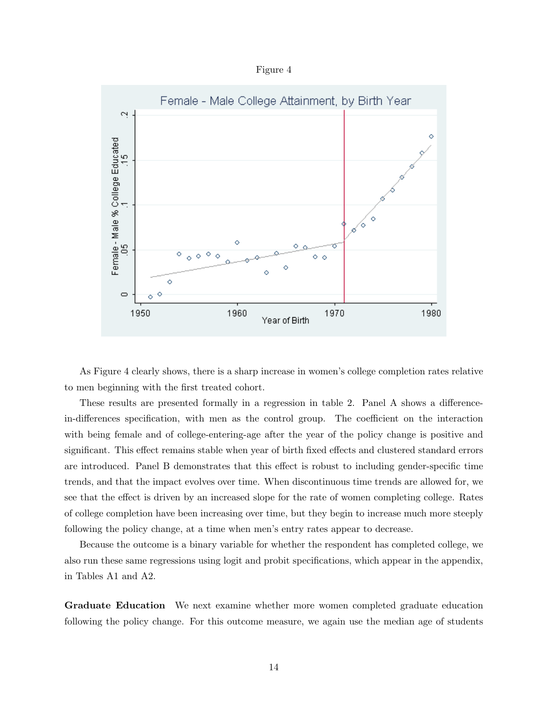Figure 4



As Figure 4 clearly shows, there is a sharp increase in women's college completion rates relative to men beginning with the first treated cohort.

These results are presented formally in a regression in table 2. Panel A shows a differencein-differences specification, with men as the control group. The coefficient on the interaction with being female and of college-entering-age after the year of the policy change is positive and significant. This effect remains stable when year of birth fixed effects and clustered standard errors are introduced. Panel B demonstrates that this effect is robust to including gender-specific time trends, and that the impact evolves over time. When discontinuous time trends are allowed for, we see that the effect is driven by an increased slope for the rate of women completing college. Rates of college completion have been increasing over time, but they begin to increase much more steeply following the policy change, at a time when men's entry rates appear to decrease.

Because the outcome is a binary variable for whether the respondent has completed college, we also run these same regressions using logit and probit specifications, which appear in the appendix, in Tables A1 and A2.

Graduate Education We next examine whether more women completed graduate education following the policy change. For this outcome measure, we again use the median age of students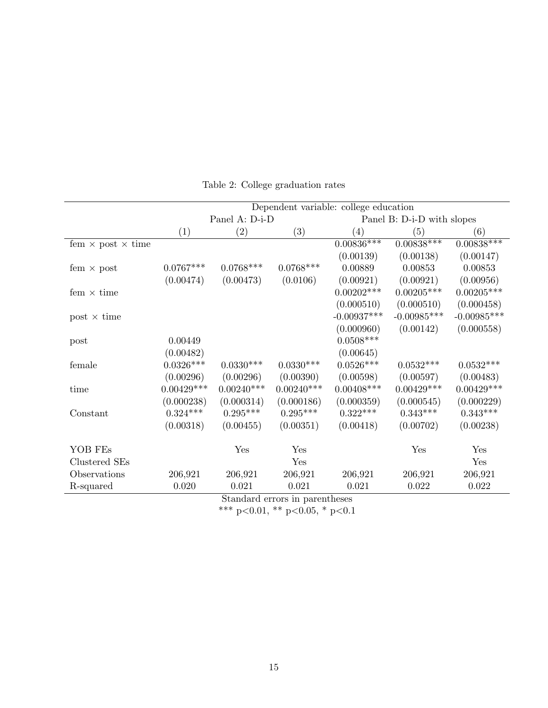|                                 | Dependent variable: college education |                |                                  |                   |                            |                         |  |
|---------------------------------|---------------------------------------|----------------|----------------------------------|-------------------|----------------------------|-------------------------|--|
|                                 |                                       | Panel A: D-i-D |                                  |                   | Panel B: D-i-D with slopes |                         |  |
|                                 | (1)                                   | (2)            | (3)                              | $\left( 4\right)$ | (5)                        | $\left( 6\right)$       |  |
| fem $\times$ post $\times$ time |                                       |                |                                  | $0.00836***$      | $0.008\overline{38***}$    | $0.008\overline{38***}$ |  |
|                                 |                                       |                |                                  | (0.00139)         | (0.00138)                  | (0.00147)               |  |
| fem $\times$ post               | $0.0767***$                           | $0.0768***$    | $0.0768***$                      | 0.00889           | 0.00853                    | 0.00853                 |  |
|                                 | (0.00474)                             | (0.00473)      | (0.0106)                         | (0.00921)         | (0.00921)                  | (0.00956)               |  |
| fem $\times$ time               |                                       |                |                                  | $0.00202***$      | $0.00205***$               | $0.00205***$            |  |
|                                 |                                       |                |                                  | (0.000510)        | (0.000510)                 | (0.000458)              |  |
| $post \times time$              |                                       |                |                                  | $-0.00937***$     | $-0.00985***$              | $-0.00985***$           |  |
|                                 |                                       |                |                                  | (0.000960)        | (0.00142)                  | (0.000558)              |  |
| post                            | 0.00449                               |                |                                  | $0.0508***$       |                            |                         |  |
|                                 | (0.00482)                             |                |                                  | (0.00645)         |                            |                         |  |
| female                          | $0.0326***$                           | $0.0330***$    | $0.0330***$                      | $0.0526***$       | $0.0532***$                | $0.0532***$             |  |
|                                 | (0.00296)                             | (0.00296)      | (0.00390)                        | (0.00598)         | (0.00597)                  | (0.00483)               |  |
| time                            | $0.00429***$                          | $0.00240***$   | $0.00240***$                     | $0.00408^{***}\,$ | $0.00429^{\ast\ast\ast}$   | $0.00429***$            |  |
|                                 | (0.000238)                            | (0.000314)     | (0.000186)                       | (0.000359)        | (0.000545)                 | (0.000229)              |  |
| Constant                        | $0.324***$                            | $0.295***$     | $0.295^{***}\,$                  | $0.322^{***}\,$   | $0.343***$                 | $0.343^{***}\;$         |  |
|                                 | (0.00318)                             | (0.00455)      | (0.00351)                        | (0.00418)         | (0.00702)                  | (0.00238)               |  |
|                                 |                                       |                |                                  |                   |                            |                         |  |
| YOB FEs                         |                                       | Yes            | Yes                              |                   | Yes                        | Yes                     |  |
| Clustered SEs                   |                                       |                | Yes                              |                   |                            | Yes                     |  |
| Observations                    | 206,921                               | 206,921        | 206,921                          | 206,921           | 206,921                    | 206,921                 |  |
| R-squared                       | 0.020                                 | 0.021          | 0.021                            | 0.021             | 0.022                      | 0.022                   |  |
|                                 |                                       |                | Standard organize in paranthosos |                   |                            |                         |  |

Table 2: College graduation rates

Standard errors in parentheses

\*\*\* p<0.01, \*\* p<0.05, \* p<0.1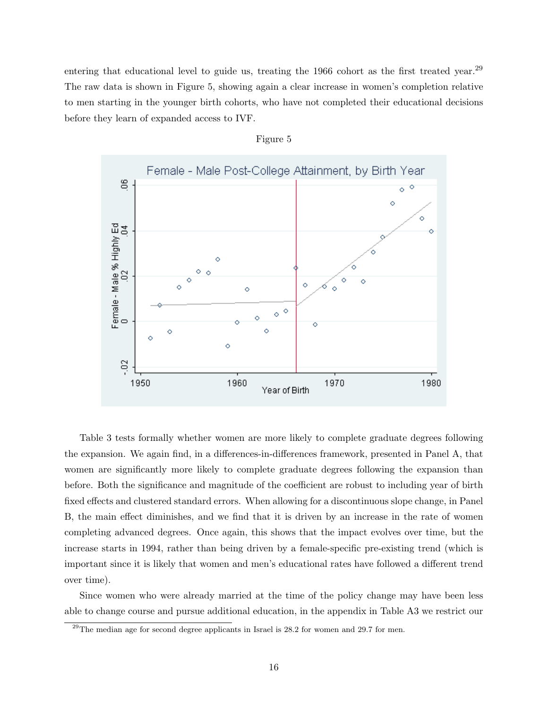entering that educational level to guide us, treating the 1966 cohort as the first treated year.<sup>29</sup> The raw data is shown in Figure 5, showing again a clear increase in women's completion relative to men starting in the younger birth cohorts, who have not completed their educational decisions before they learn of expanded access to IVF.



#### Figure 5

Table 3 tests formally whether women are more likely to complete graduate degrees following the expansion. We again find, in a differences-in-differences framework, presented in Panel A, that women are significantly more likely to complete graduate degrees following the expansion than before. Both the significance and magnitude of the coefficient are robust to including year of birth fixed effects and clustered standard errors. When allowing for a discontinuous slope change, in Panel B, the main effect diminishes, and we find that it is driven by an increase in the rate of women completing advanced degrees. Once again, this shows that the impact evolves over time, but the increase starts in 1994, rather than being driven by a female-specific pre-existing trend (which is important since it is likely that women and men's educational rates have followed a different trend over time).

Since women who were already married at the time of the policy change may have been less able to change course and pursue additional education, in the appendix in Table A3 we restrict our

 $^{29}$ The median age for second degree applicants in Israel is 28.2 for women and 29.7 for men.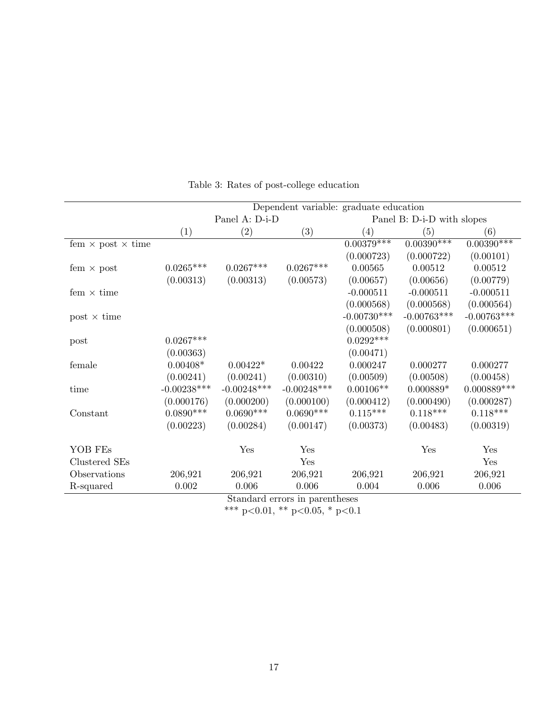|                                 | Dependent variable: graduate education |                |                                |                   |                            |               |
|---------------------------------|----------------------------------------|----------------|--------------------------------|-------------------|----------------------------|---------------|
|                                 |                                        | Panel A: D-i-D |                                |                   | Panel B: D-i-D with slopes |               |
|                                 | (1)                                    | (2)            | (3)                            | $\left( 4\right)$ | (5)                        | (6)           |
| fem $\times$ post $\times$ time |                                        |                |                                | $0.00379***$      | $0.00390***$               | $0.00390***$  |
|                                 |                                        |                |                                | (0.000723)        | (0.000722)                 | (0.00101)     |
| fem $\times$ post               | $0.0265***$                            | $0.0267***$    | $0.0267***$                    | 0.00565           | 0.00512                    | 0.00512       |
|                                 | (0.00313)                              | (0.00313)      | (0.00573)                      | (0.00657)         | (0.00656)                  | (0.00779)     |
| fem $\times$ time               |                                        |                |                                | $-0.000511$       | $-0.000511$                | $-0.000511$   |
|                                 |                                        |                |                                | (0.000568)        | (0.000568)                 | (0.000564)    |
| $post \times time$              |                                        |                |                                | $-0.00730***$     | $-0.00763***$              | $-0.00763***$ |
|                                 |                                        |                |                                | (0.000508)        | (0.000801)                 | (0.000651)    |
| post                            | $0.0267***$                            |                |                                | $0.0292***$       |                            |               |
|                                 | (0.00363)                              |                |                                | (0.00471)         |                            |               |
| female                          | $0.00408*$                             | $0.00422*$     | 0.00422                        | 0.000247          | 0.000277                   | 0.000277      |
|                                 | (0.00241)                              | (0.00241)      | (0.00310)                      | (0.00509)         | (0.00508)                  | (0.00458)     |
| time                            | $-0.00238***$                          | $-0.00248***$  | $-0.00248***$                  | $0.00106**$       | $0.000889*$                | $0.000889***$ |
|                                 | (0.000176)                             | (0.000200)     | (0.000100)                     | (0.000412)        | (0.000490)                 | (0.000287)    |
| Constant                        | $0.0890***$                            | $0.0690***$    | $0.0690***$                    | $0.115^{***}\,$   | $0.118^{***}\,$            | $0.118***$    |
|                                 | (0.00223)                              | (0.00284)      | (0.00147)                      | (0.00373)         | (0.00483)                  | (0.00319)     |
|                                 |                                        |                |                                |                   |                            |               |
| YOB FEs                         |                                        | Yes            | Yes                            |                   | Yes                        | Yes           |
| Clustered SEs                   |                                        |                | Yes                            |                   |                            | Yes           |
| Observations                    | 206,921                                | 206,921        | 206,921                        | 206,921           | 206,921                    | 206,921       |
| R-squared                       | 0.002                                  | 0.006          | 0.006                          | 0.004             | 0.006                      | 0.006         |
|                                 |                                        |                | Standard errors in parentheses |                   |                            |               |

Table 3: Rates of post-college education

Standard errors in parentheses

\*\*\* p<0.01, \*\* p<0.05, \* p<0.1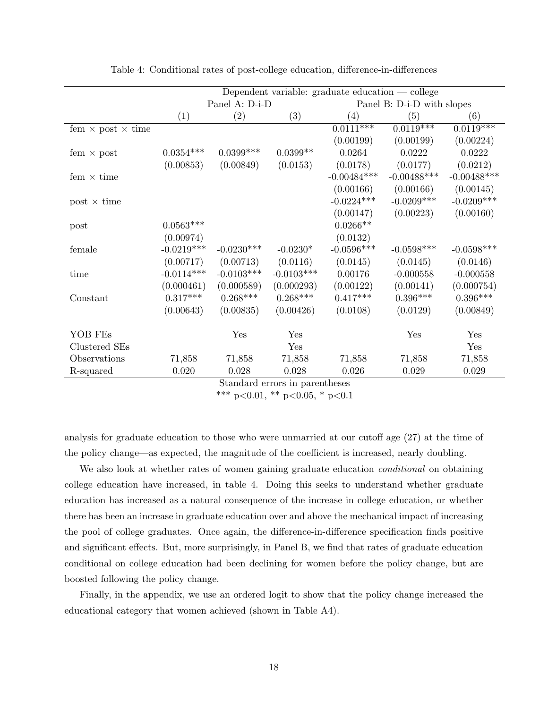| (1)          | (2)          | (3)          | (4)            | (5)            | (6)                                                                                 |
|--------------|--------------|--------------|----------------|----------------|-------------------------------------------------------------------------------------|
|              |              |              | $0.0111***$    | $0.0119***$    | $0.011\overline{9***}$                                                              |
|              |              |              | (0.00199)      | (0.00199)      | (0.00224)                                                                           |
| $0.0354***$  | $0.0399***$  | $0.0399**$   | 0.0264         | 0.0222         | 0.0222                                                                              |
| (0.00853)    | (0.00849)    | (0.0153)     | (0.0178)       | (0.0177)       | (0.0212)                                                                            |
|              |              |              | $-0.00484***$  | $-0.00488$ *** | $-0.00488$ ***                                                                      |
|              |              |              | (0.00166)      | (0.00166)      | (0.00145)                                                                           |
|              |              |              | $-0.0224***$   | $-0.0209***$   | $-0.0209***$                                                                        |
|              |              |              | (0.00147)      | (0.00223)      | (0.00160)                                                                           |
| $0.0563***$  |              |              | $0.0266**$     |                |                                                                                     |
| (0.00974)    |              |              | (0.0132)       |                |                                                                                     |
| $-0.0219***$ | $-0.0230***$ | $-0.0230*$   | $-0.0596***$   | $-0.0598***$   | $-0.0598***$                                                                        |
| (0.00717)    | (0.00713)    | (0.0116)     | (0.0145)       | (0.0145)       | (0.0146)                                                                            |
| $-0.0114***$ | $-0.0103***$ | $-0.0103***$ | 0.00176        | $-0.000558$    | $-0.000558$                                                                         |
| (0.000461)   | (0.000589)   | (0.000293)   | (0.00122)      | (0.00141)      | (0.000754)                                                                          |
| $0.317***$   |              | $0.268***$   | $0.417***$     | $0.396***$     | $0.396***$                                                                          |
| (0.00643)    | (0.00835)    | (0.00426)    | (0.0108)       | (0.0129)       | (0.00849)                                                                           |
|              | Yes          | Yes          |                | Yes            | Yes                                                                                 |
|              |              | Yes          |                |                | Yes                                                                                 |
| 71,858       | 71,858       | 71,858       | 71,858         | 71,858         | 71,858                                                                              |
| 0.020        | 0.028        | $0.028\,$    | 0.026          | 0.029          | 0.029                                                                               |
|              |              | $0.268***$   | Panel A: D-i-D |                | Dependent variable: graduate education $\sim$ college<br>Panel B: D-i-D with slopes |

Table 4: Conditional rates of post-college education, difference-in-differences

Standard errors in parentheses

analysis for graduate education to those who were unmarried at our cutoff age (27) at the time of the policy change—as expected, the magnitude of the coefficient is increased, nearly doubling.

We also look at whether rates of women gaining graduate education *conditional* on obtaining college education have increased, in table 4. Doing this seeks to understand whether graduate education has increased as a natural consequence of the increase in college education, or whether there has been an increase in graduate education over and above the mechanical impact of increasing the pool of college graduates. Once again, the difference-in-difference specification finds positive and significant effects. But, more surprisingly, in Panel B, we find that rates of graduate education conditional on college education had been declining for women before the policy change, but are boosted following the policy change.

Finally, in the appendix, we use an ordered logit to show that the policy change increased the educational category that women achieved (shown in Table A4).

<sup>\*\*\*</sup> p<0.01, \*\* p<0.05, \* p<0.1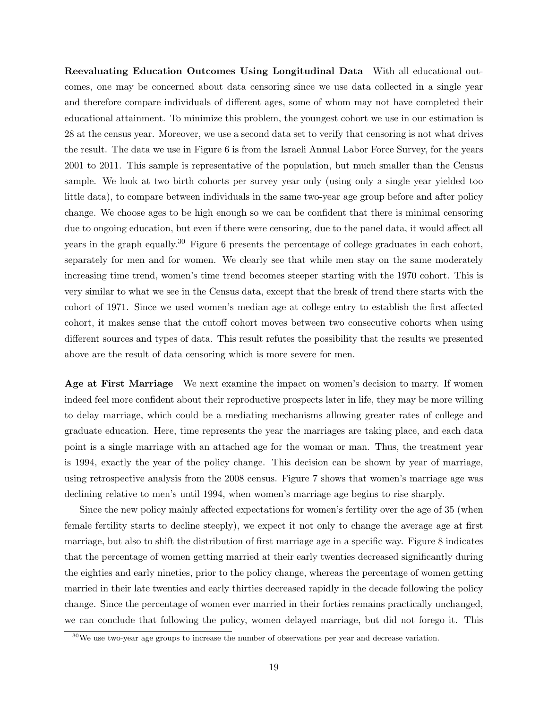Reevaluating Education Outcomes Using Longitudinal Data With all educational outcomes, one may be concerned about data censoring since we use data collected in a single year and therefore compare individuals of different ages, some of whom may not have completed their educational attainment. To minimize this problem, the youngest cohort we use in our estimation is 28 at the census year. Moreover, we use a second data set to verify that censoring is not what drives the result. The data we use in Figure 6 is from the Israeli Annual Labor Force Survey, for the years 2001 to 2011. This sample is representative of the population, but much smaller than the Census sample. We look at two birth cohorts per survey year only (using only a single year yielded too little data), to compare between individuals in the same two-year age group before and after policy change. We choose ages to be high enough so we can be confident that there is minimal censoring due to ongoing education, but even if there were censoring, due to the panel data, it would affect all years in the graph equally.<sup>30</sup> Figure 6 presents the percentage of college graduates in each cohort, separately for men and for women. We clearly see that while men stay on the same moderately increasing time trend, women's time trend becomes steeper starting with the 1970 cohort. This is very similar to what we see in the Census data, except that the break of trend there starts with the cohort of 1971. Since we used women's median age at college entry to establish the first affected cohort, it makes sense that the cutoff cohort moves between two consecutive cohorts when using different sources and types of data. This result refutes the possibility that the results we presented above are the result of data censoring which is more severe for men.

Age at First Marriage We next examine the impact on women's decision to marry. If women indeed feel more confident about their reproductive prospects later in life, they may be more willing to delay marriage, which could be a mediating mechanisms allowing greater rates of college and graduate education. Here, time represents the year the marriages are taking place, and each data point is a single marriage with an attached age for the woman or man. Thus, the treatment year is 1994, exactly the year of the policy change. This decision can be shown by year of marriage, using retrospective analysis from the 2008 census. Figure 7 shows that women's marriage age was declining relative to men's until 1994, when women's marriage age begins to rise sharply.

Since the new policy mainly affected expectations for women's fertility over the age of 35 (when female fertility starts to decline steeply), we expect it not only to change the average age at first marriage, but also to shift the distribution of first marriage age in a specific way. Figure 8 indicates that the percentage of women getting married at their early twenties decreased significantly during the eighties and early nineties, prior to the policy change, whereas the percentage of women getting married in their late twenties and early thirties decreased rapidly in the decade following the policy change. Since the percentage of women ever married in their forties remains practically unchanged, we can conclude that following the policy, women delayed marriage, but did not forego it. This

 $30\,\text{We}$  use two-year age groups to increase the number of observations per year and decrease variation.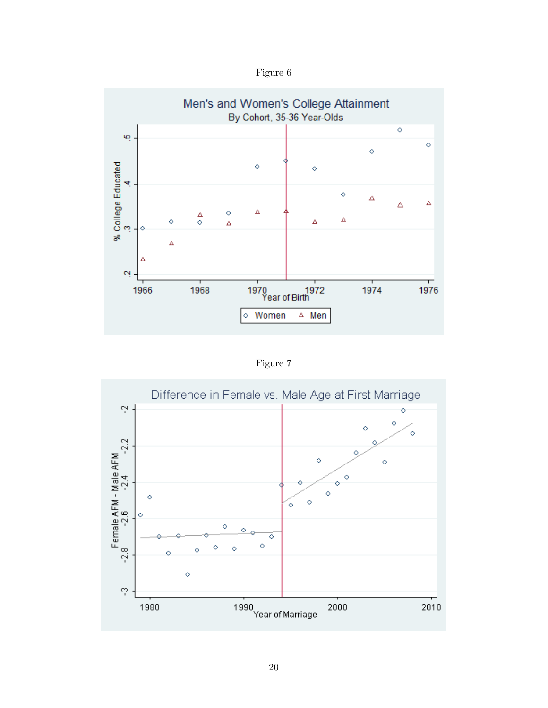Figure 6



Figure 7

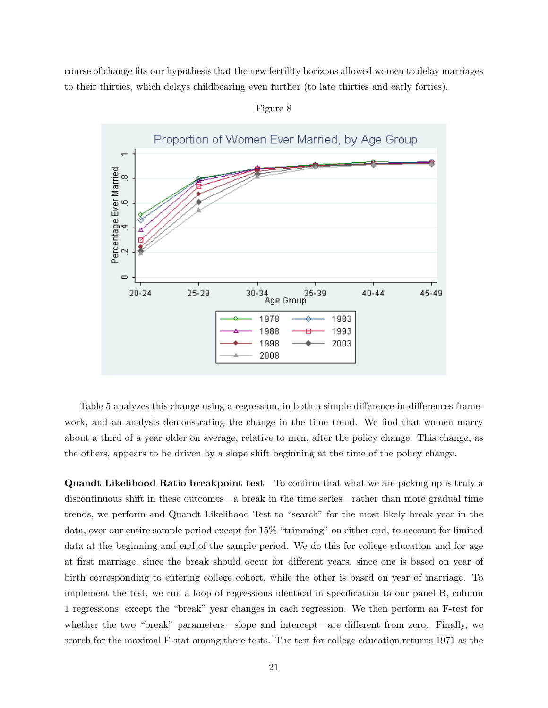course of change fits our hypothesis that the new fertility horizons allowed women to delay marriages to their thirties, which delays childbearing even further (to late thirties and early forties).



Figure 8

Table 5 analyzes this change using a regression, in both a simple difference-in-differences framework, and an analysis demonstrating the change in the time trend. We find that women marry about a third of a year older on average, relative to men, after the policy change. This change, as the others, appears to be driven by a slope shift beginning at the time of the policy change.

Quandt Likelihood Ratio breakpoint test To confirm that what we are picking up is truly a discontinuous shift in these outcomes—a break in the time series—rather than more gradual time trends, we perform and Quandt Likelihood Test to "search" for the most likely break year in the data, over our entire sample period except for 15% "trimming" on either end, to account for limited data at the beginning and end of the sample period. We do this for college education and for age at first marriage, since the break should occur for different years, since one is based on year of birth corresponding to entering college cohort, while the other is based on year of marriage. To implement the test, we run a loop of regressions identical in specification to our panel B, column 1 regressions, except the "break" year changes in each regression. We then perform an F-test for whether the two "break" parameters—slope and intercept—are different from zero. Finally, we search for the maximal F-stat among these tests. The test for college education returns 1971 as the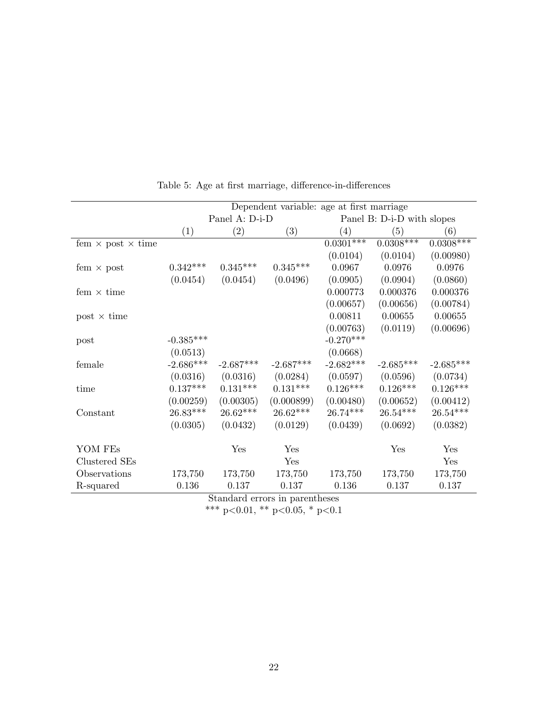|                                 | Dependent variable: age at first marriage |                   |             |                            |             |             |
|---------------------------------|-------------------------------------------|-------------------|-------------|----------------------------|-------------|-------------|
|                                 |                                           | Panel A: D-i-D    |             | Panel B: D-i-D with slopes |             |             |
|                                 | (1)                                       | $\left( 2\right)$ | (3)         | $\left( 4\right)$          | (5)         | (6)         |
| fem $\times$ post $\times$ time |                                           |                   |             | $0.0301***$                | $0.0308***$ | $0.0308***$ |
|                                 |                                           |                   |             | (0.0104)                   | (0.0104)    | (0.00980)   |
| fem $\times$ post               | $0.342***$                                | $0.345***$        | $0.345***$  | 0.0967                     | 0.0976      | 0.0976      |
|                                 | (0.0454)                                  | (0.0454)          | (0.0496)    | (0.0905)                   | (0.0904)    | (0.0860)    |
| fem $\times$ time               |                                           |                   |             | 0.000773                   | 0.000376    | 0.000376    |
|                                 |                                           |                   |             | (0.00657)                  | (0.00656)   | (0.00784)   |
| post $\times$ time              |                                           |                   |             | 0.00811                    | 0.00655     | 0.00655     |
|                                 |                                           |                   |             | (0.00763)                  | (0.0119)    | (0.00696)   |
| post                            | $-0.385^{***}\,$                          |                   |             | $-0.270***$                |             |             |
|                                 | (0.0513)                                  |                   |             | (0.0668)                   |             |             |
| female                          | $-2.686***$                               | $-2.687***$       | $-2.687***$ | $-2.682***$                | $-2.685***$ | $-2.685***$ |
|                                 | (0.0316)                                  | (0.0316)          | (0.0284)    | (0.0597)                   | (0.0596)    | (0.0734)    |
| time                            | $0.137***$                                | $0.131***$        | $0.131***$  | $0.126***$                 | $0.126***$  | $0.126***$  |
|                                 | (0.00259)                                 | (0.00305)         | (0.000899)  | (0.00480)                  | (0.00652)   | (0.00412)   |
| Constant                        | $26.83***$                                | $26.62***$        | $26.62***$  | $26.74***$                 | $26.54***$  | $26.54***$  |
|                                 | (0.0305)                                  | (0.0432)          | (0.0129)    | (0.0439)                   | (0.0692)    | (0.0382)    |
| YOM FEs                         |                                           | Yes               | Yes         |                            | Yes         | Yes         |
| Clustered SEs                   |                                           |                   | Yes         |                            |             | Yes         |
| Observations                    | 173,750                                   | 173,750           | 173,750     | 173,750                    | 173,750     | 173,750     |
| R-squared                       | 0.136                                     | 0.137             | 0.137       | 0.136                      | 0.137       | 0.137       |

Table 5: Age at first marriage, difference-in-differences

Standard errors in parentheses \*\*\* p<0.01, \*\* p<0.05, \* p<0.1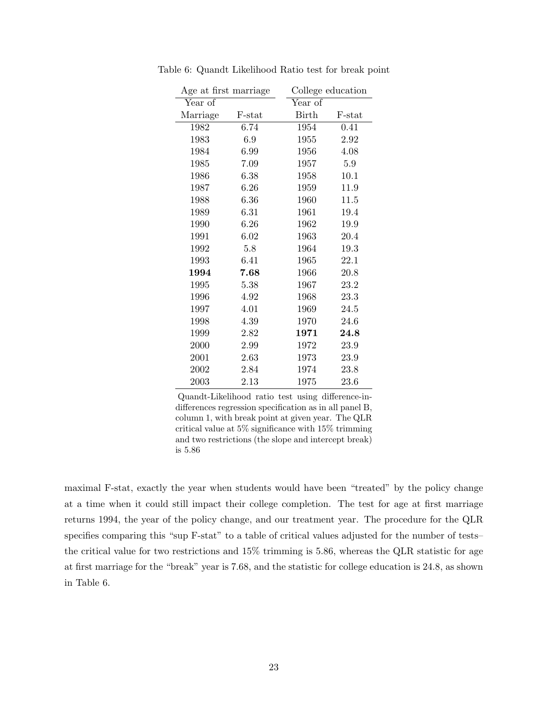| Age at first marriage |        |         | College education |
|-----------------------|--------|---------|-------------------|
| Year of               |        | Year of |                   |
| Marriage              | F-stat | Birth   | F-stat            |
| 1982                  | 6.74   | 1954    | 0.41              |
| 1983                  | 6.9    | 1955    | 2.92              |
| 1984                  | 6.99   | 1956    | 4.08              |
| 1985                  | 7.09   | 1957    | $5.9\,$           |
| 1986                  | 6.38   | 1958    | 10.1              |
| 1987                  | 6.26   | 1959    | 11.9              |
| 1988                  | 6.36   | 1960    | 11.5              |
| 1989                  | 6.31   | 1961    | 19.4              |
| 1990                  | 6.26   | 1962    | 19.9              |
| 1991                  | 6.02   | 1963    | 20.4              |
| 1992                  | 5.8    | 1964    | 19.3              |
| 1993                  | 6.41   | 1965    | 22.1              |
| 1994                  | 7.68   | 1966    | 20.8              |
| 1995                  | 5.38   | 1967    | 23.2              |
| 1996                  | 4.92   | 1968    | 23.3              |
| 1997                  | 4.01   | 1969    | 24.5              |
| 1998                  | 4.39   | 1970    | 24.6              |
| 1999                  | 2.82   | 1971    | $\bf 24.8$        |
| 2000                  | 2.99   | 1972    | 23.9              |
| 2001                  | 2.63   | 1973    | 23.9              |
| 2002                  | 2.84   | 1974    | 23.8              |
| 2003                  | 2.13   | 1975    | 23.6              |

Table 6: Quandt Likelihood Ratio test for break point

Quandt-Likelihood ratio test using difference-indifferences regression specification as in all panel B, column 1, with break point at given year. The QLR critical value at 5% significance with 15% trimming and two restrictions (the slope and intercept break) is 5.86

maximal F-stat, exactly the year when students would have been "treated" by the policy change at a time when it could still impact their college completion. The test for age at first marriage returns 1994, the year of the policy change, and our treatment year. The procedure for the QLR specifies comparing this "sup F-stat" to a table of critical values adjusted for the number of tests– the critical value for two restrictions and 15% trimming is 5.86, whereas the QLR statistic for age at first marriage for the "break" year is 7.68, and the statistic for college education is 24.8, as shown in Table 6.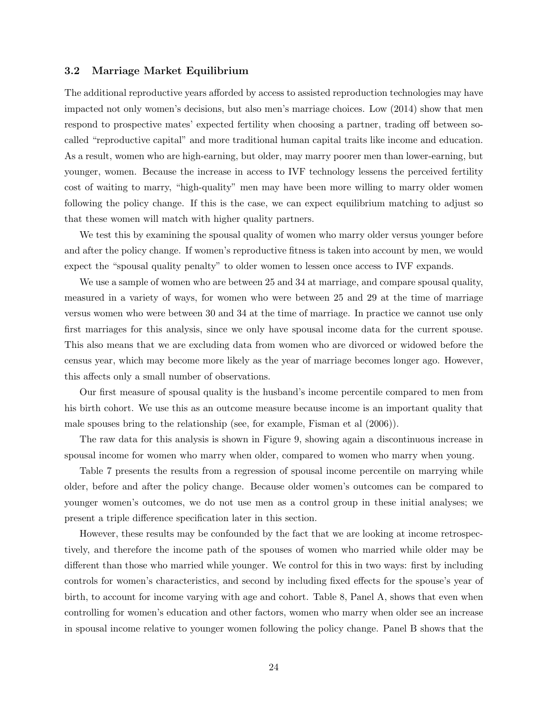#### 3.2 Marriage Market Equilibrium

The additional reproductive years afforded by access to assisted reproduction technologies may have impacted not only women's decisions, but also men's marriage choices. Low (2014) show that men respond to prospective mates' expected fertility when choosing a partner, trading off between socalled "reproductive capital" and more traditional human capital traits like income and education. As a result, women who are high-earning, but older, may marry poorer men than lower-earning, but younger, women. Because the increase in access to IVF technology lessens the perceived fertility cost of waiting to marry, "high-quality" men may have been more willing to marry older women following the policy change. If this is the case, we can expect equilibrium matching to adjust so that these women will match with higher quality partners.

We test this by examining the spousal quality of women who marry older versus younger before and after the policy change. If women's reproductive fitness is taken into account by men, we would expect the "spousal quality penalty" to older women to lessen once access to IVF expands.

We use a sample of women who are between 25 and 34 at marriage, and compare spousal quality, measured in a variety of ways, for women who were between 25 and 29 at the time of marriage versus women who were between 30 and 34 at the time of marriage. In practice we cannot use only first marriages for this analysis, since we only have spousal income data for the current spouse. This also means that we are excluding data from women who are divorced or widowed before the census year, which may become more likely as the year of marriage becomes longer ago. However, this affects only a small number of observations.

Our first measure of spousal quality is the husband's income percentile compared to men from his birth cohort. We use this as an outcome measure because income is an important quality that male spouses bring to the relationship (see, for example, Fisman et al (2006)).

The raw data for this analysis is shown in Figure 9, showing again a discontinuous increase in spousal income for women who marry when older, compared to women who marry when young.

Table 7 presents the results from a regression of spousal income percentile on marrying while older, before and after the policy change. Because older women's outcomes can be compared to younger women's outcomes, we do not use men as a control group in these initial analyses; we present a triple difference specification later in this section.

However, these results may be confounded by the fact that we are looking at income retrospectively, and therefore the income path of the spouses of women who married while older may be different than those who married while younger. We control for this in two ways: first by including controls for women's characteristics, and second by including fixed effects for the spouse's year of birth, to account for income varying with age and cohort. Table 8, Panel A, shows that even when controlling for women's education and other factors, women who marry when older see an increase in spousal income relative to younger women following the policy change. Panel B shows that the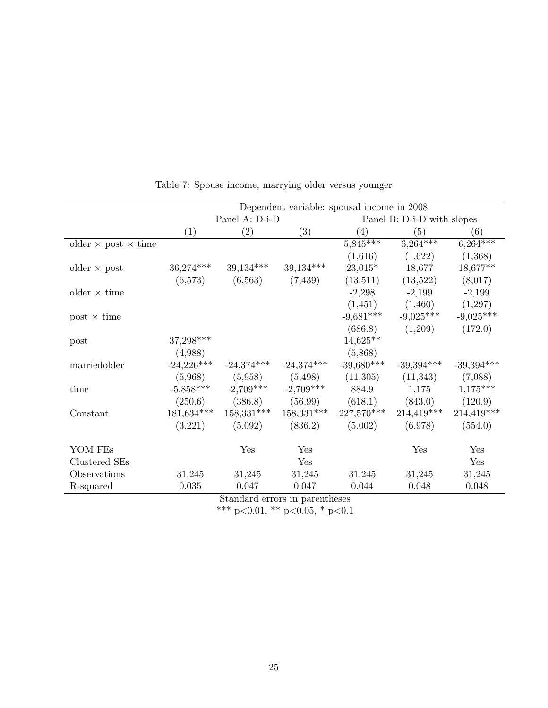| Dependent variable: spousal income in 2008<br>Panel A: $D-i-D$<br>Panel B: D-i-D with slopes<br>$\left( 2\right)$<br>(3)<br>(4)<br>(5)<br>(6)<br>(1)<br>$5,845***$<br>$6,264***$<br>$6,264***$<br>older $\times$ post $\times$ time<br>(1,616)<br>(1,622)<br>(1,368)<br>39,134***<br>39,134***<br>36,274***<br>$23,015*$<br>18,677**<br>18,677<br>older $\times$ post<br>(7,439)<br>(13,511)<br>(13,522)<br>(8,017)<br>(6,573)<br>(6,563)<br>$-2,298$<br>$-2,199$<br>$-2,199$<br>older $\times$ time<br>(1,451)<br>(1,460)<br>(1,297)<br>$-9,681***$<br>$-9,025***$<br>$-9,025***$<br>$post \times time$<br>(172.0)<br>(686.8)<br>(1,209)<br>37,298***<br>$14,625**$<br>post<br>(4,988)<br>(5,868)<br>$-24,226***$<br>$-39,680***$<br>$-24,374***$<br>$-24,374***$<br>$-39,394***$<br>$-39,394***$<br>marriedolder<br>(5,968)<br>(5,958)<br>(5, 498)<br>(11,305)<br>(11,343)<br>(7,088)<br>$-5,858***$<br>$-2,709***$<br>$-2,709***$<br>$1,175***$<br>884.9<br>1,175<br>time<br>(250.6)<br>(386.8)<br>(56.99)<br>(618.1)<br>(120.9)<br>(843.0)<br>214,419***<br>181,634***<br>158,331***<br>158,331***<br>227,570***<br>214,419***<br>Constant<br>(5,002)<br>(554.0)<br>(5,092)<br>(836.2)<br>(6,978)<br>(3,221) |         |  |     |     |  |     |     |
|------------------------------------------------------------------------------------------------------------------------------------------------------------------------------------------------------------------------------------------------------------------------------------------------------------------------------------------------------------------------------------------------------------------------------------------------------------------------------------------------------------------------------------------------------------------------------------------------------------------------------------------------------------------------------------------------------------------------------------------------------------------------------------------------------------------------------------------------------------------------------------------------------------------------------------------------------------------------------------------------------------------------------------------------------------------------------------------------------------------------------------------------------------------------------------------------------------------|---------|--|-----|-----|--|-----|-----|
|                                                                                                                                                                                                                                                                                                                                                                                                                                                                                                                                                                                                                                                                                                                                                                                                                                                                                                                                                                                                                                                                                                                                                                                                                  |         |  |     |     |  |     |     |
|                                                                                                                                                                                                                                                                                                                                                                                                                                                                                                                                                                                                                                                                                                                                                                                                                                                                                                                                                                                                                                                                                                                                                                                                                  |         |  |     |     |  |     |     |
|                                                                                                                                                                                                                                                                                                                                                                                                                                                                                                                                                                                                                                                                                                                                                                                                                                                                                                                                                                                                                                                                                                                                                                                                                  |         |  |     |     |  |     |     |
|                                                                                                                                                                                                                                                                                                                                                                                                                                                                                                                                                                                                                                                                                                                                                                                                                                                                                                                                                                                                                                                                                                                                                                                                                  |         |  |     |     |  |     |     |
|                                                                                                                                                                                                                                                                                                                                                                                                                                                                                                                                                                                                                                                                                                                                                                                                                                                                                                                                                                                                                                                                                                                                                                                                                  |         |  |     |     |  |     |     |
|                                                                                                                                                                                                                                                                                                                                                                                                                                                                                                                                                                                                                                                                                                                                                                                                                                                                                                                                                                                                                                                                                                                                                                                                                  |         |  |     |     |  |     |     |
|                                                                                                                                                                                                                                                                                                                                                                                                                                                                                                                                                                                                                                                                                                                                                                                                                                                                                                                                                                                                                                                                                                                                                                                                                  |         |  |     |     |  |     |     |
|                                                                                                                                                                                                                                                                                                                                                                                                                                                                                                                                                                                                                                                                                                                                                                                                                                                                                                                                                                                                                                                                                                                                                                                                                  |         |  |     |     |  |     |     |
|                                                                                                                                                                                                                                                                                                                                                                                                                                                                                                                                                                                                                                                                                                                                                                                                                                                                                                                                                                                                                                                                                                                                                                                                                  |         |  |     |     |  |     |     |
|                                                                                                                                                                                                                                                                                                                                                                                                                                                                                                                                                                                                                                                                                                                                                                                                                                                                                                                                                                                                                                                                                                                                                                                                                  |         |  |     |     |  |     |     |
|                                                                                                                                                                                                                                                                                                                                                                                                                                                                                                                                                                                                                                                                                                                                                                                                                                                                                                                                                                                                                                                                                                                                                                                                                  |         |  |     |     |  |     |     |
|                                                                                                                                                                                                                                                                                                                                                                                                                                                                                                                                                                                                                                                                                                                                                                                                                                                                                                                                                                                                                                                                                                                                                                                                                  |         |  |     |     |  |     |     |
|                                                                                                                                                                                                                                                                                                                                                                                                                                                                                                                                                                                                                                                                                                                                                                                                                                                                                                                                                                                                                                                                                                                                                                                                                  |         |  |     |     |  |     |     |
|                                                                                                                                                                                                                                                                                                                                                                                                                                                                                                                                                                                                                                                                                                                                                                                                                                                                                                                                                                                                                                                                                                                                                                                                                  |         |  |     |     |  |     |     |
|                                                                                                                                                                                                                                                                                                                                                                                                                                                                                                                                                                                                                                                                                                                                                                                                                                                                                                                                                                                                                                                                                                                                                                                                                  |         |  |     |     |  |     |     |
|                                                                                                                                                                                                                                                                                                                                                                                                                                                                                                                                                                                                                                                                                                                                                                                                                                                                                                                                                                                                                                                                                                                                                                                                                  |         |  |     |     |  |     |     |
|                                                                                                                                                                                                                                                                                                                                                                                                                                                                                                                                                                                                                                                                                                                                                                                                                                                                                                                                                                                                                                                                                                                                                                                                                  |         |  |     |     |  |     |     |
|                                                                                                                                                                                                                                                                                                                                                                                                                                                                                                                                                                                                                                                                                                                                                                                                                                                                                                                                                                                                                                                                                                                                                                                                                  |         |  |     |     |  |     |     |
|                                                                                                                                                                                                                                                                                                                                                                                                                                                                                                                                                                                                                                                                                                                                                                                                                                                                                                                                                                                                                                                                                                                                                                                                                  |         |  |     |     |  |     |     |
|                                                                                                                                                                                                                                                                                                                                                                                                                                                                                                                                                                                                                                                                                                                                                                                                                                                                                                                                                                                                                                                                                                                                                                                                                  | YOM FES |  | Yes | Yes |  | Yes | Yes |
| Clustered SEs<br>Yes<br>Yes                                                                                                                                                                                                                                                                                                                                                                                                                                                                                                                                                                                                                                                                                                                                                                                                                                                                                                                                                                                                                                                                                                                                                                                      |         |  |     |     |  |     |     |
| Observations<br>31,245<br>31,245<br>31,245<br>31,245<br>31,245<br>31,245                                                                                                                                                                                                                                                                                                                                                                                                                                                                                                                                                                                                                                                                                                                                                                                                                                                                                                                                                                                                                                                                                                                                         |         |  |     |     |  |     |     |
| 0.035<br>0.047<br>0.047<br>0.044<br>0.048<br>0.048<br>R-squared                                                                                                                                                                                                                                                                                                                                                                                                                                                                                                                                                                                                                                                                                                                                                                                                                                                                                                                                                                                                                                                                                                                                                  |         |  |     |     |  |     |     |

Table 7: Spouse income, marrying older versus younger

Standard errors in parentheses

\*\*\* p<0.01, \*\* p<0.05, \* p<0.1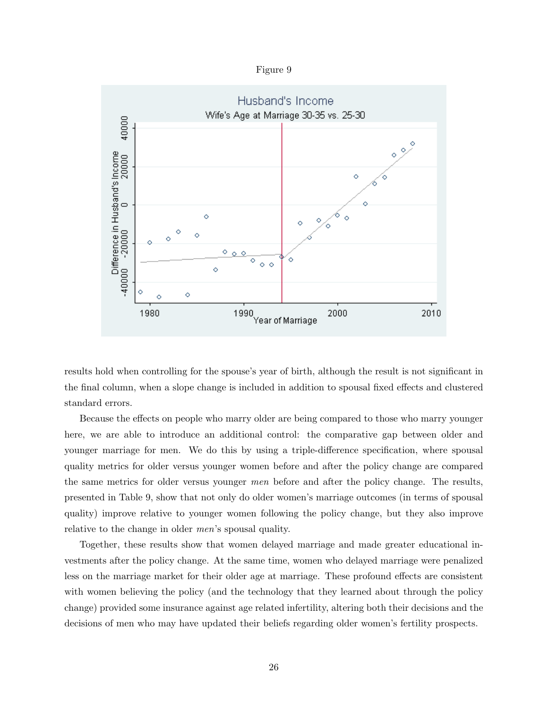Figure 9



results hold when controlling for the spouse's year of birth, although the result is not significant in the final column, when a slope change is included in addition to spousal fixed effects and clustered standard errors.

Because the effects on people who marry older are being compared to those who marry younger here, we are able to introduce an additional control: the comparative gap between older and younger marriage for men. We do this by using a triple-difference specification, where spousal quality metrics for older versus younger women before and after the policy change are compared the same metrics for older versus younger men before and after the policy change. The results, presented in Table 9, show that not only do older women's marriage outcomes (in terms of spousal quality) improve relative to younger women following the policy change, but they also improve relative to the change in older men's spousal quality.

Together, these results show that women delayed marriage and made greater educational investments after the policy change. At the same time, women who delayed marriage were penalized less on the marriage market for their older age at marriage. These profound effects are consistent with women believing the policy (and the technology that they learned about through the policy change) provided some insurance against age related infertility, altering both their decisions and the decisions of men who may have updated their beliefs regarding older women's fertility prospects.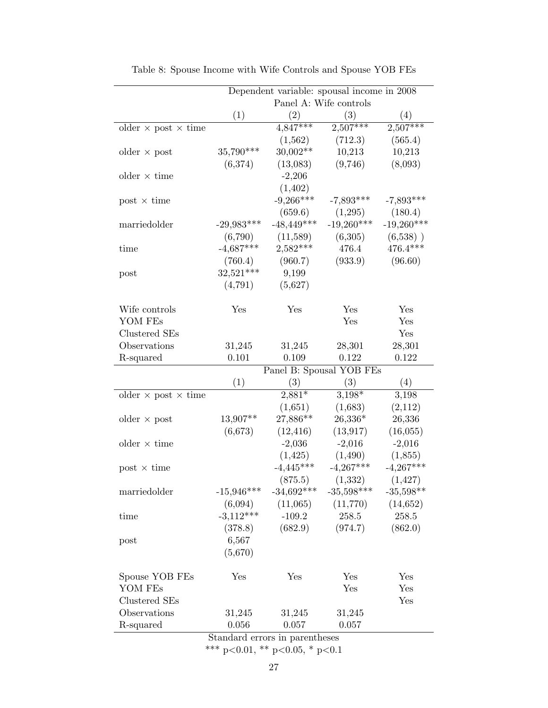|                                   | Dependent variable: spousal income in 2008 |                        |              |              |  |  |  |
|-----------------------------------|--------------------------------------------|------------------------|--------------|--------------|--|--|--|
|                                   |                                            | Panel A: Wife controls |              |              |  |  |  |
|                                   | (1)                                        | (2)                    | (3)          | (4)          |  |  |  |
| older $\times$ post $\times$ time |                                            | $4,847***$             | $2,507***$   | $2,507***$   |  |  |  |
|                                   |                                            | (1,562)                | (712.3)      | (565.4)      |  |  |  |
| older $\times$ post               | 35,790***                                  | 30,002**               | 10,213       | 10,213       |  |  |  |
|                                   | (6,374)                                    | (13,083)               | (9,746)      | (8,093)      |  |  |  |
| older $\times$ time               |                                            | $-2,206$               |              |              |  |  |  |
|                                   |                                            | (1,402)                |              |              |  |  |  |
| $post \times time$                |                                            | $-9,266***$            | $-7,893***$  | $-7,893***$  |  |  |  |
|                                   |                                            | (659.6)                | (1,295)      | (180.4)      |  |  |  |
| marriedolder                      | $-29,983***$                               | $-48,449***$           | $-19,260***$ | $-19,260***$ |  |  |  |
|                                   | (6,790)                                    | (11,589)               | (6,305)      | $(6,538)$ )  |  |  |  |
| time                              | $-4,687***$                                | $2,582***$             | 476.4        | 476.4***     |  |  |  |
|                                   | (760.4)                                    | (960.7)                | (933.9)      | (96.60)      |  |  |  |
| post                              | $32,521***$                                | 9,199                  |              |              |  |  |  |
|                                   | (4,791)                                    | (5,627)                |              |              |  |  |  |
|                                   |                                            |                        |              |              |  |  |  |
| Wife controls                     | Yes                                        | Yes                    | Yes          | Yes          |  |  |  |
| YOM FEs                           |                                            |                        | Yes          | Yes          |  |  |  |
| Clustered SEs                     |                                            |                        |              | Yes          |  |  |  |
| Observations                      | 31,245                                     | 31,245                 | 28,301       | 28,301       |  |  |  |
| R-squared                         | 0.101                                      | 0.109                  | 0.122        | 0.122        |  |  |  |
|                                   | Panel B: Spousal YOB FEs                   |                        |              |              |  |  |  |
|                                   | (1)                                        | (3)                    | (3)          | (4)          |  |  |  |
| older $\times$ post $\times$ time |                                            | $2,881*$               | $3,198*$     | 3,198        |  |  |  |
|                                   |                                            | (1,651)                | (1,683)      | (2,112)      |  |  |  |
| older $\times$ post               | 13,907**                                   | 27,886**               | $26,336*$    | 26,336       |  |  |  |
|                                   | (6,673)                                    | (12, 416)              | (13, 917)    | (16, 055)    |  |  |  |
| older $\times$ time               |                                            | $-2,036$               | $-2,016$     | $-2,016$     |  |  |  |
|                                   |                                            | (1, 425)               | (1,490)      | (1,855)      |  |  |  |
| $post \times time$                |                                            | $-4,445***$            | $-4,267***$  | $-4,267***$  |  |  |  |
|                                   |                                            | (875.5)                | (1, 332)     | (1, 427)     |  |  |  |
| marriedolder                      | $-15,946***$                               | $-34,692***$           | $-35,598***$ | $-35,598**$  |  |  |  |
|                                   | (6,094)                                    | (11,065)               | (11,770)     | (14, 652)    |  |  |  |
| time                              | $-3,112***$                                | $-109.2$               | 258.5        | $258.5\,$    |  |  |  |
|                                   | (378.8)                                    | (682.9)                | (974.7)      | (862.0)      |  |  |  |
| post                              | 6,567                                      |                        |              |              |  |  |  |
|                                   | (5,670)                                    |                        |              |              |  |  |  |
|                                   |                                            |                        |              |              |  |  |  |
| Spouse YOB FEs                    | Yes                                        | Yes                    | Yes          | Yes          |  |  |  |
| YOM FEs                           |                                            |                        | Yes          | Yes          |  |  |  |
| Clustered SEs                     |                                            |                        |              | Yes          |  |  |  |
| Observations                      | 31,245                                     | 31,245                 | 31,245       |              |  |  |  |
| R-squared                         | 0.056                                      | 0.057                  | 0.057        |              |  |  |  |

Table 8: Spouse Income with Wife Controls and Spouse YOB FEs

Standard errors in parentheses

\*\*\* p<0.01, \*\* p<0.05, \* p<0.1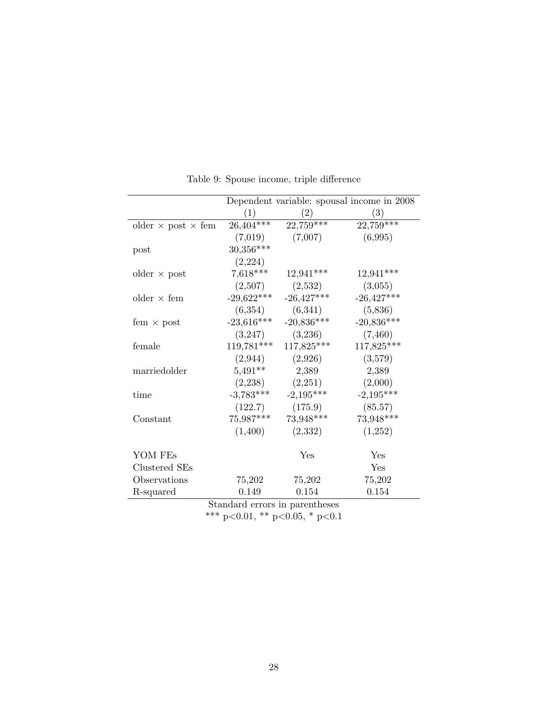|                                  |              |              | Dependent variable: spousal income in 2008 |
|----------------------------------|--------------|--------------|--------------------------------------------|
|                                  | (1)          | (2)          | (3)                                        |
| older $\times$ post $\times$ fem | $26,404***$  | $22,759***$  | $22,759***$                                |
|                                  | (7,019)      | (7,007)      | (6,995)                                    |
| post                             | $30,356***$  |              |                                            |
|                                  | (2,224)      |              |                                            |
| older $\times$ post              | $7,618***$   | $12,941***$  | $12,941***$                                |
|                                  | (2,507)      | (2,532)      | (3,055)                                    |
| older $\times$ fem               | $-29,622***$ | $-26,427***$ | $-26,427***$                               |
|                                  | (6,354)      | (6,341)      | (5,836)                                    |
| fem $\times$ post                | $-23,616***$ | $-20,836***$ | $-20,836***$                               |
|                                  | (3,247)      | (3,236)      | (7,460)                                    |
| female                           | 119,781***   | 117,825***   | 117,825***                                 |
|                                  | (2,944)      | (2,926)      | (3,579)                                    |
| marriedolder                     | $5,491**$    | 2,389        | 2,389                                      |
|                                  | (2,238)      | (2,251)      | (2,000)                                    |
| time                             | $-3,783***$  | $-2,195***$  | $-2,195***$                                |
|                                  | (122.7)      | (175.9)      | (85.57)                                    |
| Constant                         | $75,987***$  | 73,948***    | 73,948***                                  |
|                                  | (1,400)      | (2,332)      | (1,252)                                    |
| YOM FEs                          |              | Yes          | Yes                                        |
| Clustered SEs                    |              |              | Yes                                        |
| Observations                     | 75,202       | 75,202       | 75,202                                     |
| R-squared                        | 0.149        | 0.154        | 0.154                                      |

Table 9: Spouse income, triple difference

Standard errors in parentheses \*\*\* p<0.01, \*\* p<0.05, \* p<0.1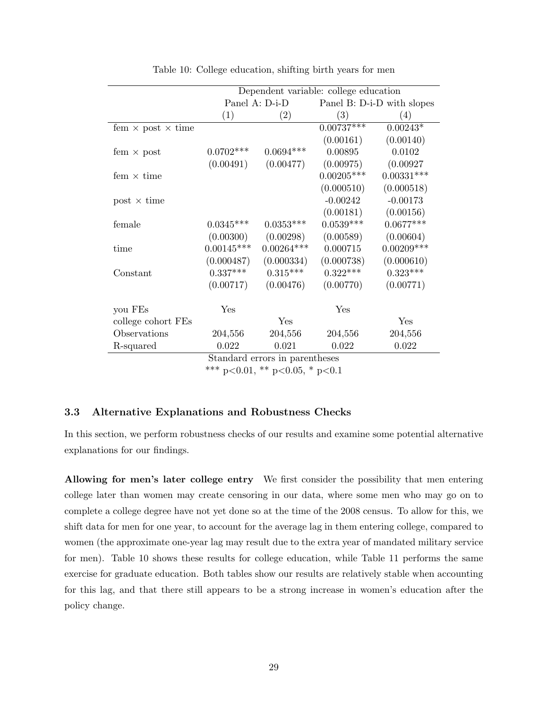|                                 | Dependent variable: college education |                                |                            |              |  |
|---------------------------------|---------------------------------------|--------------------------------|----------------------------|--------------|--|
|                                 |                                       | Panel A: D-i-D                 | Panel B: D-i-D with slopes |              |  |
|                                 | (1)                                   | (2)                            | (3)                        | (4)          |  |
| fem $\times$ post $\times$ time |                                       |                                | $0.00737***$               | $0.00243*$   |  |
|                                 |                                       |                                | (0.00161)                  | (0.00140)    |  |
| fem $\times$ post               | $0.0702***$                           | $0.0694***$                    | 0.00895                    | 0.0102       |  |
|                                 | (0.00491)                             | (0.00477)                      | (0.00975)                  | (0.00927)    |  |
| fem $\times$ time               |                                       |                                | $0.00205***$               | $0.00331***$ |  |
|                                 |                                       |                                | (0.000510)                 | (0.000518)   |  |
| $post \times time$              |                                       |                                | $-0.00242$                 | $-0.00173$   |  |
|                                 |                                       |                                | (0.00181)                  | (0.00156)    |  |
| female                          | $0.0345***$                           | $0.0353***$                    | $0.0539***$                | $0.0677***$  |  |
|                                 | (0.00300)                             | (0.00298)                      | (0.00589)                  | (0.00604)    |  |
| time                            | $0.00145***$                          | $0.00264***$                   | 0.000715                   | $0.00209***$ |  |
|                                 | (0.000487)                            | (0.000334)                     | (0.000738)                 | (0.000610)   |  |
| Constant                        | $0.337***$                            | $0.315***$                     | $0.322***$                 | $0.323***$   |  |
|                                 | (0.00717)                             | (0.00476)                      | (0.00770)                  | (0.00771)    |  |
| you FEs                         | Yes                                   |                                | Yes                        |              |  |
|                                 |                                       |                                |                            |              |  |
| college cohort FEs              |                                       | Yes                            |                            | Yes          |  |
| Observations                    | 204,556                               | 204,556                        | 204,556                    | 204,556      |  |
| R-squared                       | 0.022                                 | 0.021                          | 0.022                      | 0.022        |  |
|                                 |                                       | Standard errors in parentheses |                            |              |  |

Table 10: College education, shifting birth years for men

\*\*\* p<0.01, \*\* p<0.05, \* p<0.1

## 3.3 Alternative Explanations and Robustness Checks

In this section, we perform robustness checks of our results and examine some potential alternative explanations for our findings.

Allowing for men's later college entry We first consider the possibility that men entering college later than women may create censoring in our data, where some men who may go on to complete a college degree have not yet done so at the time of the 2008 census. To allow for this, we shift data for men for one year, to account for the average lag in them entering college, compared to women (the approximate one-year lag may result due to the extra year of mandated military service for men). Table 10 shows these results for college education, while Table 11 performs the same exercise for graduate education. Both tables show our results are relatively stable when accounting for this lag, and that there still appears to be a strong increase in women's education after the policy change.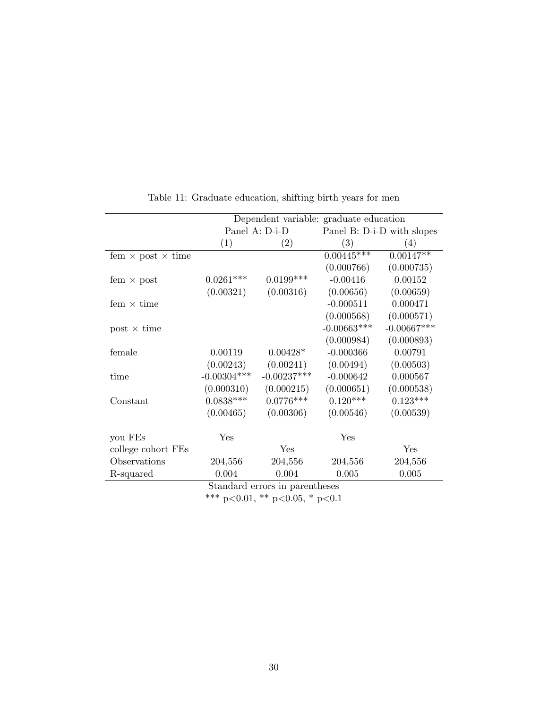|                                 | Dependent variable: graduate education |                   |                            |                  |  |
|---------------------------------|----------------------------------------|-------------------|----------------------------|------------------|--|
|                                 |                                        | Panel A: D-i-D    | Panel B: D-i-D with slopes |                  |  |
|                                 | (1)                                    | $\left( 2\right)$ | $\left( 3\right)$          | $\left(4\right)$ |  |
| fem $\times$ post $\times$ time |                                        |                   | $0.00445***$               | $0.00147**$      |  |
|                                 |                                        |                   | (0.000766)                 | (0.000735)       |  |
| fem $\times$ post               | $0.0261***$                            | $0.0199***$       | $-0.00416$                 | 0.00152          |  |
|                                 | (0.00321)                              | (0.00316)         | (0.00656)                  | (0.00659)        |  |
| fem $\times$ time               |                                        |                   | $-0.000511$                | 0.000471         |  |
|                                 |                                        |                   | (0.000568)                 | (0.000571)       |  |
| $post \times time$              |                                        |                   | $-0.00663***$              | $-0.00667***$    |  |
|                                 |                                        |                   | (0.000984)                 | (0.000893)       |  |
| female                          | 0.00119                                | $0.00428*$        | $-0.000366$                | 0.00791          |  |
|                                 | (0.00243)                              | (0.00241)         | (0.00494)                  | (0.00503)        |  |
| time                            | $-0.00304***$                          | $-0.00237***$     | $-0.000642$                | 0.000567         |  |
|                                 | (0.000310)                             | (0.000215)        | (0.000651)                 | (0.000538)       |  |
| Constant                        | $0.0838***$                            | $0.0776***$       | $0.120***$                 | $0.123***$       |  |
|                                 | (0.00465)                              | (0.00306)         | (0.00546)                  | (0.00539)        |  |
| you FEs                         | Yes                                    |                   | Yes                        |                  |  |
| college cohort FEs              |                                        | Yes               |                            | Yes              |  |
| Observations                    | 204,556                                | 204,556           | 204,556                    | 204,556          |  |
| R-squared                       | 0.004                                  | 0.004             | 0.005                      | 0.005            |  |

Table 11: Graduate education, shifting birth years for men

Standard errors in parentheses

\*\*\* p<0.01, \*\* p<0.05, \* p<0.1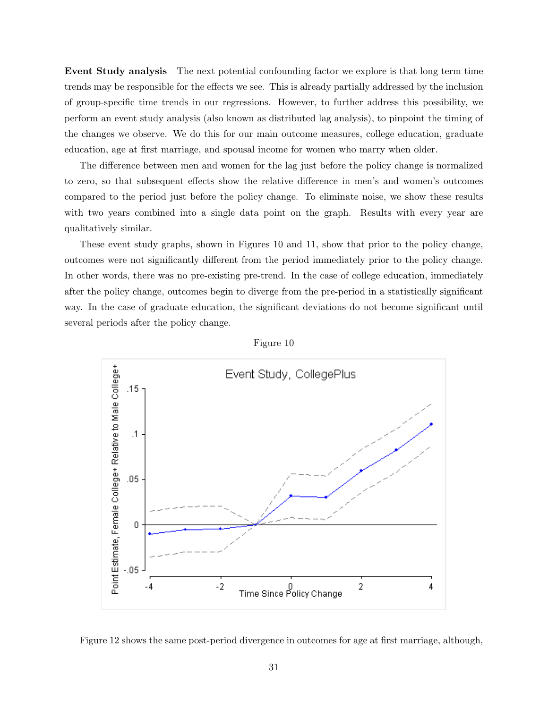Event Study analysis The next potential confounding factor we explore is that long term time trends may be responsible for the effects we see. This is already partially addressed by the inclusion of group-specific time trends in our regressions. However, to further address this possibility, we perform an event study analysis (also known as distributed lag analysis), to pinpoint the timing of the changes we observe. We do this for our main outcome measures, college education, graduate education, age at first marriage, and spousal income for women who marry when older.

The difference between men and women for the lag just before the policy change is normalized to zero, so that subsequent effects show the relative difference in men's and women's outcomes compared to the period just before the policy change. To eliminate noise, we show these results with two years combined into a single data point on the graph. Results with every year are qualitatively similar.

These event study graphs, shown in Figures 10 and 11, show that prior to the policy change, outcomes were not significantly different from the period immediately prior to the policy change. In other words, there was no pre-existing pre-trend. In the case of college education, immediately after the policy change, outcomes begin to diverge from the pre-period in a statistically significant way. In the case of graduate education, the significant deviations do not become significant until several periods after the policy change.





Figure 12 shows the same post-period divergence in outcomes for age at first marriage, although,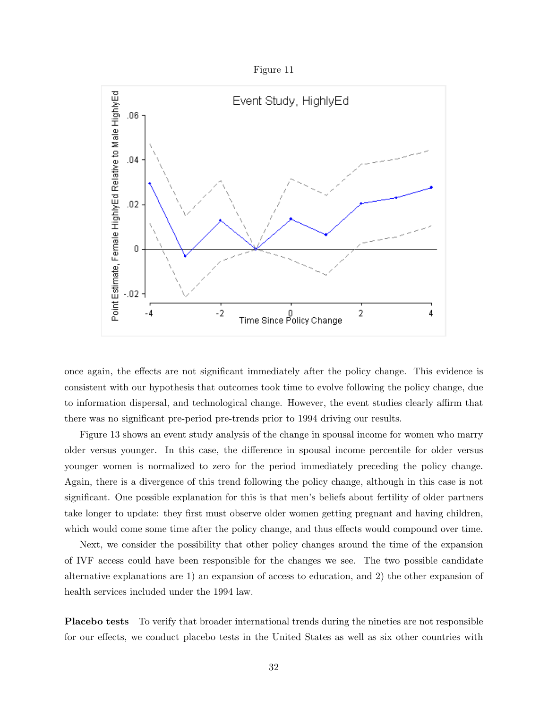



once again, the effects are not significant immediately after the policy change. This evidence is consistent with our hypothesis that outcomes took time to evolve following the policy change, due to information dispersal, and technological change. However, the event studies clearly affirm that there was no significant pre-period pre-trends prior to 1994 driving our results.

Figure 13 shows an event study analysis of the change in spousal income for women who marry older versus younger. In this case, the difference in spousal income percentile for older versus younger women is normalized to zero for the period immediately preceding the policy change. Again, there is a divergence of this trend following the policy change, although in this case is not significant. One possible explanation for this is that men's beliefs about fertility of older partners take longer to update: they first must observe older women getting pregnant and having children, which would come some time after the policy change, and thus effects would compound over time.

Next, we consider the possibility that other policy changes around the time of the expansion of IVF access could have been responsible for the changes we see. The two possible candidate alternative explanations are 1) an expansion of access to education, and 2) the other expansion of health services included under the 1994 law.

Placebo tests To verify that broader international trends during the nineties are not responsible for our effects, we conduct placebo tests in the United States as well as six other countries with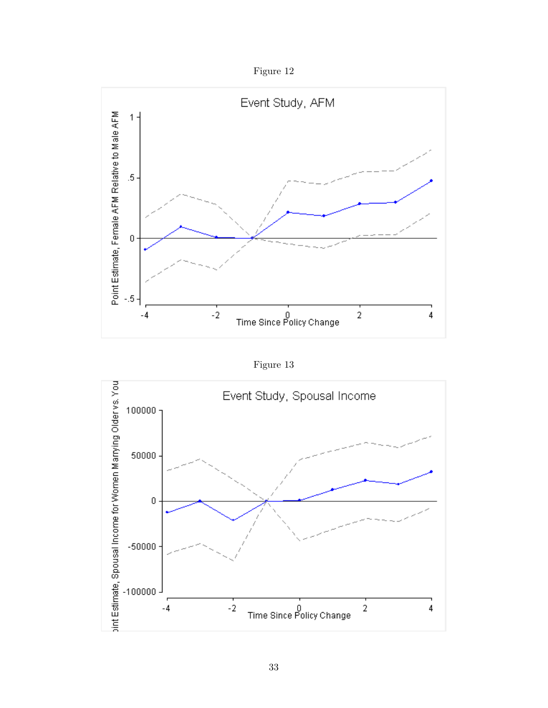Figure 12



Figure 13

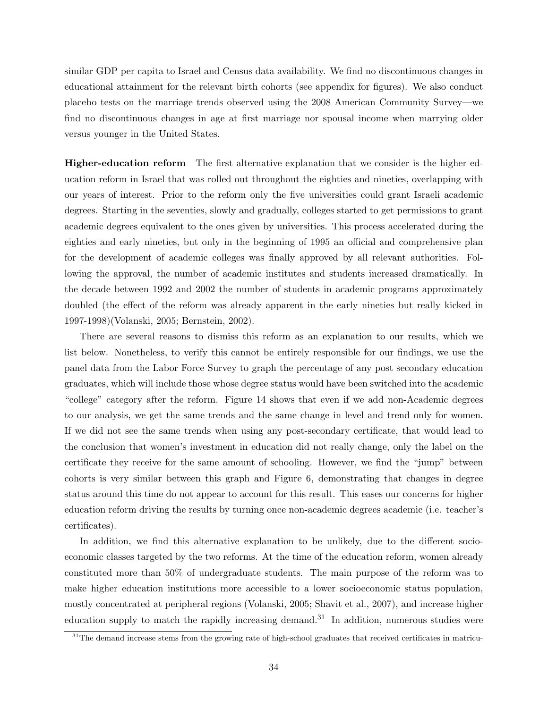similar GDP per capita to Israel and Census data availability. We find no discontinuous changes in educational attainment for the relevant birth cohorts (see appendix for figures). We also conduct placebo tests on the marriage trends observed using the 2008 American Community Survey—we find no discontinuous changes in age at first marriage nor spousal income when marrying older versus younger in the United States.

Higher-education reform The first alternative explanation that we consider is the higher education reform in Israel that was rolled out throughout the eighties and nineties, overlapping with our years of interest. Prior to the reform only the five universities could grant Israeli academic degrees. Starting in the seventies, slowly and gradually, colleges started to get permissions to grant academic degrees equivalent to the ones given by universities. This process accelerated during the eighties and early nineties, but only in the beginning of 1995 an official and comprehensive plan for the development of academic colleges was finally approved by all relevant authorities. Following the approval, the number of academic institutes and students increased dramatically. In the decade between 1992 and 2002 the number of students in academic programs approximately doubled (the effect of the reform was already apparent in the early nineties but really kicked in 1997-1998)(Volanski, 2005; Bernstein, 2002).

There are several reasons to dismiss this reform as an explanation to our results, which we list below. Nonetheless, to verify this cannot be entirely responsible for our findings, we use the panel data from the Labor Force Survey to graph the percentage of any post secondary education graduates, which will include those whose degree status would have been switched into the academic "college" category after the reform. Figure 14 shows that even if we add non-Academic degrees to our analysis, we get the same trends and the same change in level and trend only for women. If we did not see the same trends when using any post-secondary certificate, that would lead to the conclusion that women's investment in education did not really change, only the label on the certificate they receive for the same amount of schooling. However, we find the "jump" between cohorts is very similar between this graph and Figure 6, demonstrating that changes in degree status around this time do not appear to account for this result. This eases our concerns for higher education reform driving the results by turning once non-academic degrees academic (i.e. teacher's certificates).

In addition, we find this alternative explanation to be unlikely, due to the different socioeconomic classes targeted by the two reforms. At the time of the education reform, women already constituted more than 50% of undergraduate students. The main purpose of the reform was to make higher education institutions more accessible to a lower socioeconomic status population, mostly concentrated at peripheral regions (Volanski, 2005; Shavit et al., 2007), and increase higher education supply to match the rapidly increasing demand.<sup>31</sup> In addition, numerous studies were

 $31$ The demand increase stems from the growing rate of high-school graduates that received certificates in matricu-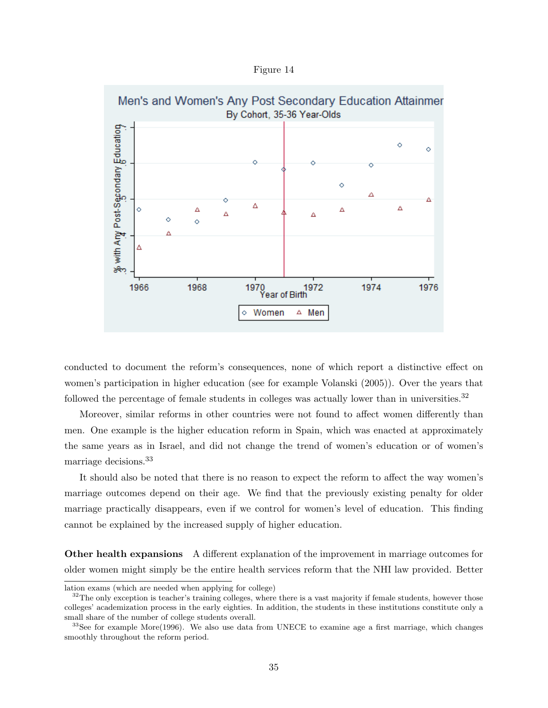Figure 14



conducted to document the reform's consequences, none of which report a distinctive effect on women's participation in higher education (see for example Volanski (2005)). Over the years that followed the percentage of female students in colleges was actually lower than in universities.<sup>32</sup>

Moreover, similar reforms in other countries were not found to affect women differently than men. One example is the higher education reform in Spain, which was enacted at approximately the same years as in Israel, and did not change the trend of women's education or of women's marriage decisions.<sup>33</sup>

It should also be noted that there is no reason to expect the reform to affect the way women's marriage outcomes depend on their age. We find that the previously existing penalty for older marriage practically disappears, even if we control for women's level of education. This finding cannot be explained by the increased supply of higher education.

Other health expansions A different explanation of the improvement in marriage outcomes for older women might simply be the entire health services reform that the NHI law provided. Better

lation exams (which are needed when applying for college)

 $32$ The only exception is teacher's training colleges, where there is a vast majority if female students, however those colleges' academization process in the early eighties. In addition, the students in these institutions constitute only a small share of the number of college students overall.

 $33$ See for example More(1996). We also use data from UNECE to examine age a first marriage, which changes smoothly throughout the reform period.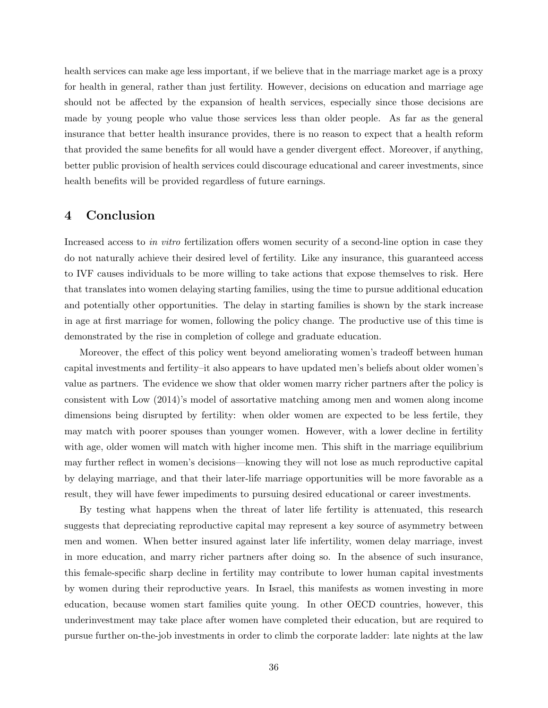health services can make age less important, if we believe that in the marriage market age is a proxy for health in general, rather than just fertility. However, decisions on education and marriage age should not be affected by the expansion of health services, especially since those decisions are made by young people who value those services less than older people. As far as the general insurance that better health insurance provides, there is no reason to expect that a health reform that provided the same benefits for all would have a gender divergent effect. Moreover, if anything, better public provision of health services could discourage educational and career investments, since health benefits will be provided regardless of future earnings.

## 4 Conclusion

Increased access to in vitro fertilization offers women security of a second-line option in case they do not naturally achieve their desired level of fertility. Like any insurance, this guaranteed access to IVF causes individuals to be more willing to take actions that expose themselves to risk. Here that translates into women delaying starting families, using the time to pursue additional education and potentially other opportunities. The delay in starting families is shown by the stark increase in age at first marriage for women, following the policy change. The productive use of this time is demonstrated by the rise in completion of college and graduate education.

Moreover, the effect of this policy went beyond ameliorating women's tradeoff between human capital investments and fertility–it also appears to have updated men's beliefs about older women's value as partners. The evidence we show that older women marry richer partners after the policy is consistent with Low (2014)'s model of assortative matching among men and women along income dimensions being disrupted by fertility: when older women are expected to be less fertile, they may match with poorer spouses than younger women. However, with a lower decline in fertility with age, older women will match with higher income men. This shift in the marriage equilibrium may further reflect in women's decisions—knowing they will not lose as much reproductive capital by delaying marriage, and that their later-life marriage opportunities will be more favorable as a result, they will have fewer impediments to pursuing desired educational or career investments.

By testing what happens when the threat of later life fertility is attenuated, this research suggests that depreciating reproductive capital may represent a key source of asymmetry between men and women. When better insured against later life infertility, women delay marriage, invest in more education, and marry richer partners after doing so. In the absence of such insurance, this female-specific sharp decline in fertility may contribute to lower human capital investments by women during their reproductive years. In Israel, this manifests as women investing in more education, because women start families quite young. In other OECD countries, however, this underinvestment may take place after women have completed their education, but are required to pursue further on-the-job investments in order to climb the corporate ladder: late nights at the law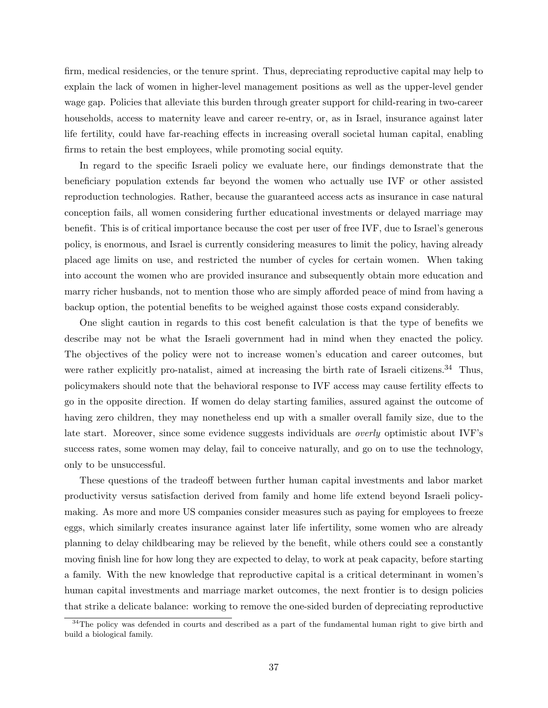firm, medical residencies, or the tenure sprint. Thus, depreciating reproductive capital may help to explain the lack of women in higher-level management positions as well as the upper-level gender wage gap. Policies that alleviate this burden through greater support for child-rearing in two-career households, access to maternity leave and career re-entry, or, as in Israel, insurance against later life fertility, could have far-reaching effects in increasing overall societal human capital, enabling firms to retain the best employees, while promoting social equity.

In regard to the specific Israeli policy we evaluate here, our findings demonstrate that the beneficiary population extends far beyond the women who actually use IVF or other assisted reproduction technologies. Rather, because the guaranteed access acts as insurance in case natural conception fails, all women considering further educational investments or delayed marriage may benefit. This is of critical importance because the cost per user of free IVF, due to Israel's generous policy, is enormous, and Israel is currently considering measures to limit the policy, having already placed age limits on use, and restricted the number of cycles for certain women. When taking into account the women who are provided insurance and subsequently obtain more education and marry richer husbands, not to mention those who are simply afforded peace of mind from having a backup option, the potential benefits to be weighed against those costs expand considerably.

One slight caution in regards to this cost benefit calculation is that the type of benefits we describe may not be what the Israeli government had in mind when they enacted the policy. The objectives of the policy were not to increase women's education and career outcomes, but were rather explicitly pro-natalist, aimed at increasing the birth rate of Israeli citizens.<sup>34</sup> Thus, policymakers should note that the behavioral response to IVF access may cause fertility effects to go in the opposite direction. If women do delay starting families, assured against the outcome of having zero children, they may nonetheless end up with a smaller overall family size, due to the late start. Moreover, since some evidence suggests individuals are *overly* optimistic about IVF's success rates, some women may delay, fail to conceive naturally, and go on to use the technology, only to be unsuccessful.

These questions of the tradeoff between further human capital investments and labor market productivity versus satisfaction derived from family and home life extend beyond Israeli policymaking. As more and more US companies consider measures such as paying for employees to freeze eggs, which similarly creates insurance against later life infertility, some women who are already planning to delay childbearing may be relieved by the benefit, while others could see a constantly moving finish line for how long they are expected to delay, to work at peak capacity, before starting a family. With the new knowledge that reproductive capital is a critical determinant in women's human capital investments and marriage market outcomes, the next frontier is to design policies that strike a delicate balance: working to remove the one-sided burden of depreciating reproductive

<sup>&</sup>lt;sup>34</sup>The policy was defended in courts and described as a part of the fundamental human right to give birth and build a biological family.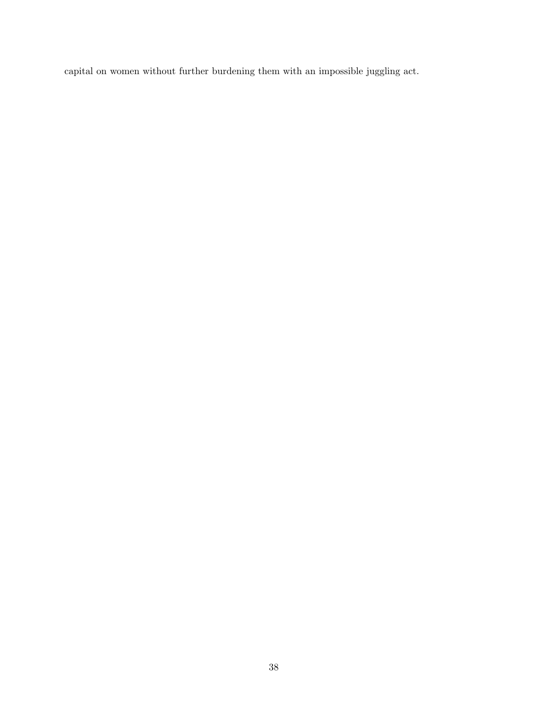capital on women without further burdening them with an impossible juggling act.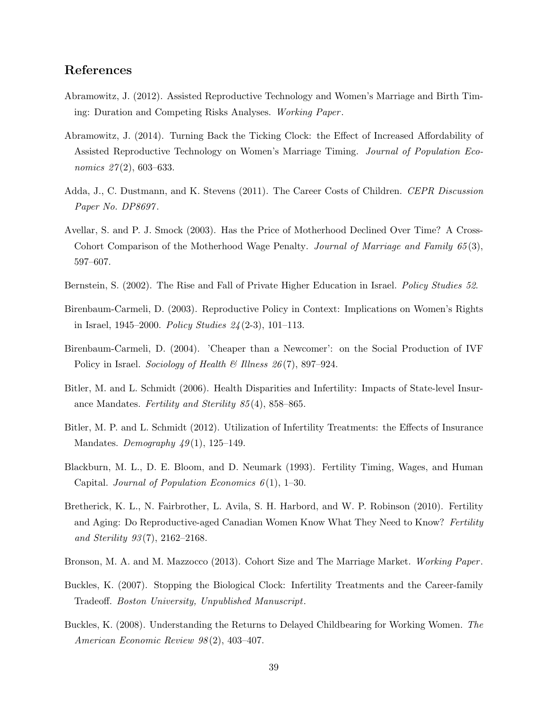# References

- Abramowitz, J. (2012). Assisted Reproductive Technology and Women's Marriage and Birth Timing: Duration and Competing Risks Analyses. Working Paper .
- Abramowitz, J. (2014). Turning Back the Ticking Clock: the Effect of Increased Affordability of Assisted Reproductive Technology on Women's Marriage Timing. Journal of Population Economics  $27(2)$ , 603–633.
- Adda, J., C. Dustmann, and K. Stevens (2011). The Career Costs of Children. CEPR Discussion Paper No. DP8697.
- Avellar, S. and P. J. Smock (2003). Has the Price of Motherhood Declined Over Time? A Cross-Cohort Comparison of the Motherhood Wage Penalty. Journal of Marriage and Family 65(3), 597–607.
- Bernstein, S. (2002). The Rise and Fall of Private Higher Education in Israel. *Policy Studies 52*.
- Birenbaum-Carmeli, D. (2003). Reproductive Policy in Context: Implications on Women's Rights in Israel, 1945–2000. Policy Studies  $24(2-3)$ , 101–113.
- Birenbaum-Carmeli, D. (2004). 'Cheaper than a Newcomer': on the Social Production of IVF Policy in Israel. Sociology of Health & Illness  $26(7)$ , 897–924.
- Bitler, M. and L. Schmidt (2006). Health Disparities and Infertility: Impacts of State-level Insurance Mandates. Fertility and Sterility 85 (4), 858–865.
- Bitler, M. P. and L. Schmidt (2012). Utilization of Infertility Treatments: the Effects of Insurance Mandates. Demography  $49(1)$ , 125–149.
- Blackburn, M. L., D. E. Bloom, and D. Neumark (1993). Fertility Timing, Wages, and Human Capital. Journal of Population Economics  $6(1)$ , 1–30.
- Bretherick, K. L., N. Fairbrother, L. Avila, S. H. Harbord, and W. P. Robinson (2010). Fertility and Aging: Do Reproductive-aged Canadian Women Know What They Need to Know? Fertility and Sterility  $93(7)$ ,  $2162-2168$ .
- Bronson, M. A. and M. Mazzocco (2013). Cohort Size and The Marriage Market. Working Paper.
- Buckles, K. (2007). Stopping the Biological Clock: Infertility Treatments and the Career-family Tradeoff. Boston University, Unpublished Manuscript.
- Buckles, K. (2008). Understanding the Returns to Delayed Childbearing for Working Women. The American Economic Review 98 (2), 403–407.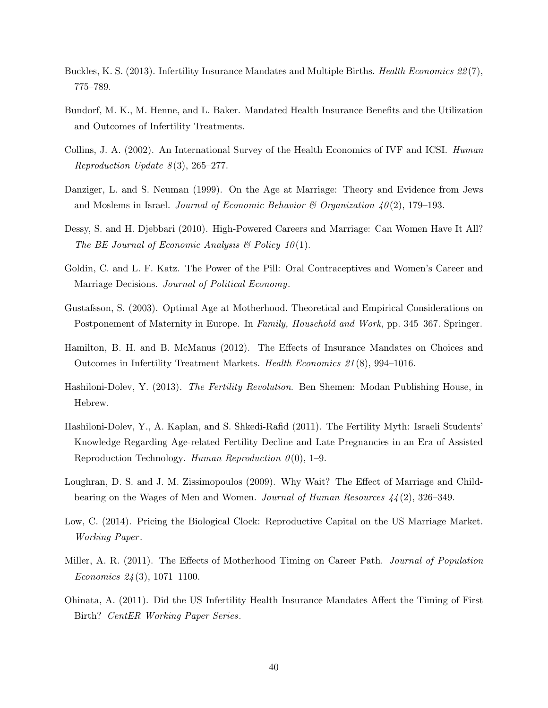- Buckles, K. S. (2013). Infertility Insurance Mandates and Multiple Births. *Health Economics 22*(7), 775–789.
- Bundorf, M. K., M. Henne, and L. Baker. Mandated Health Insurance Benefits and the Utilization and Outcomes of Infertility Treatments.
- Collins, J. A. (2002). An International Survey of the Health Economics of IVF and ICSI. Human Reproduction Update  $8(3)$ , 265–277.
- Danziger, L. and S. Neuman (1999). On the Age at Marriage: Theory and Evidence from Jews and Moslems in Israel. Journal of Economic Behavior & Organization  $40(2)$ , 179–193.
- Dessy, S. and H. Djebbari (2010). High-Powered Careers and Marriage: Can Women Have It All? The BE Journal of Economic Analysis  $\mathcal B$  Policy 10(1).
- Goldin, C. and L. F. Katz. The Power of the Pill: Oral Contraceptives and Women's Career and Marriage Decisions. Journal of Political Economy.
- Gustafsson, S. (2003). Optimal Age at Motherhood. Theoretical and Empirical Considerations on Postponement of Maternity in Europe. In Family, Household and Work, pp. 345–367. Springer.
- Hamilton, B. H. and B. McManus (2012). The Effects of Insurance Mandates on Choices and Outcomes in Infertility Treatment Markets. Health Economics 21 (8), 994–1016.
- Hashiloni-Dolev, Y. (2013). The Fertility Revolution. Ben Shemen: Modan Publishing House, in Hebrew.
- Hashiloni-Dolev, Y., A. Kaplan, and S. Shkedi-Rafid (2011). The Fertility Myth: Israeli Students' Knowledge Regarding Age-related Fertility Decline and Late Pregnancies in an Era of Assisted Reproduction Technology. Human Reproduction  $\theta(0)$ , 1–9.
- Loughran, D. S. and J. M. Zissimopoulos (2009). Why Wait? The Effect of Marriage and Childbearing on the Wages of Men and Women. Journal of Human Resources 44 (2), 326–349.
- Low, C. (2014). Pricing the Biological Clock: Reproductive Capital on the US Marriage Market. Working Paper .
- Miller, A. R. (2011). The Effects of Motherhood Timing on Career Path. *Journal of Population* Economics  $24(3)$ , 1071–1100.
- Ohinata, A. (2011). Did the US Infertility Health Insurance Mandates Affect the Timing of First Birth? CentER Working Paper Series.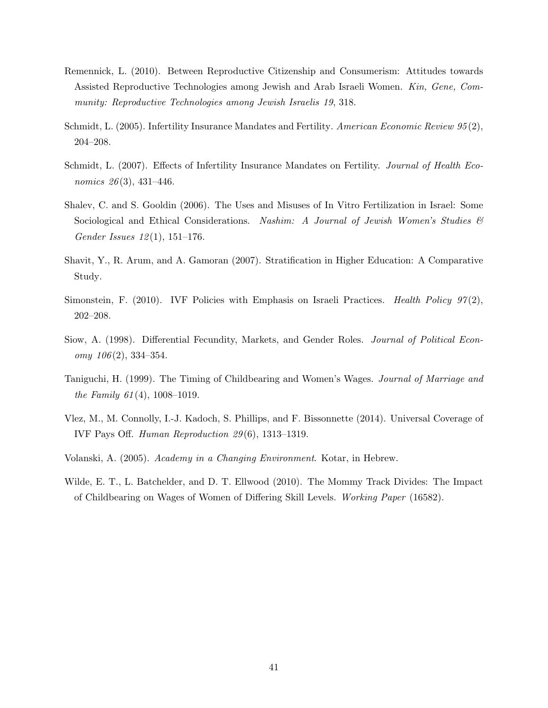- Remennick, L. (2010). Between Reproductive Citizenship and Consumerism: Attitudes towards Assisted Reproductive Technologies among Jewish and Arab Israeli Women. Kin, Gene, Community: Reproductive Technologies among Jewish Israelis 19, 318.
- Schmidt, L. (2005). Infertility Insurance Mandates and Fertility. American Economic Review 95(2), 204–208.
- Schmidt, L. (2007). Effects of Infertility Insurance Mandates on Fertility. Journal of Health Economics  $26(3)$ , 431-446.
- Shalev, C. and S. Gooldin (2006). The Uses and Misuses of In Vitro Fertilization in Israel: Some Sociological and Ethical Considerations. Nashim: A Journal of Jewish Women's Studies  $\mathcal{C}$ Gender Issues 12 (1), 151–176.
- Shavit, Y., R. Arum, and A. Gamoran (2007). Stratification in Higher Education: A Comparative Study.
- Simonstein, F. (2010). IVF Policies with Emphasis on Israeli Practices. Health Policy  $97(2)$ , 202–208.
- Siow, A. (1998). Differential Fecundity, Markets, and Gender Roles. Journal of Political Econ $omy \; 106(2), \; 334-354.$
- Taniguchi, H. (1999). The Timing of Childbearing and Women's Wages. Journal of Marriage and the Family  $61(4)$ , 1008-1019.
- Vlez, M., M. Connolly, I.-J. Kadoch, S. Phillips, and F. Bissonnette (2014). Universal Coverage of IVF Pays Off. Human Reproduction 29 (6), 1313–1319.
- Volanski, A. (2005). Academy in a Changing Environment. Kotar, in Hebrew.
- Wilde, E. T., L. Batchelder, and D. T. Ellwood (2010). The Mommy Track Divides: The Impact of Childbearing on Wages of Women of Differing Skill Levels. Working Paper (16582).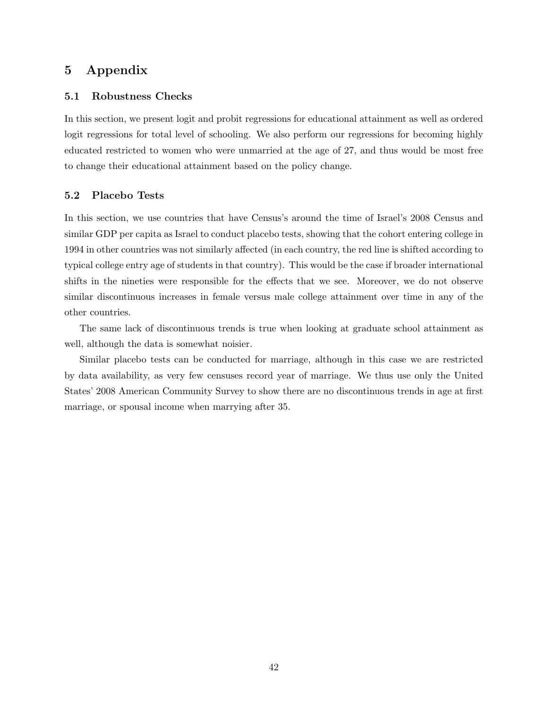# 5 Appendix

#### 5.1 Robustness Checks

In this section, we present logit and probit regressions for educational attainment as well as ordered logit regressions for total level of schooling. We also perform our regressions for becoming highly educated restricted to women who were unmarried at the age of 27, and thus would be most free to change their educational attainment based on the policy change.

#### 5.2 Placebo Tests

In this section, we use countries that have Census's around the time of Israel's 2008 Census and similar GDP per capita as Israel to conduct placebo tests, showing that the cohort entering college in 1994 in other countries was not similarly affected (in each country, the red line is shifted according to typical college entry age of students in that country). This would be the case if broader international shifts in the nineties were responsible for the effects that we see. Moreover, we do not observe similar discontinuous increases in female versus male college attainment over time in any of the other countries.

The same lack of discontinuous trends is true when looking at graduate school attainment as well, although the data is somewhat noisier.

Similar placebo tests can be conducted for marriage, although in this case we are restricted by data availability, as very few censuses record year of marriage. We thus use only the United States' 2008 American Community Survey to show there are no discontinuous trends in age at first marriage, or spousal income when marrying after 35.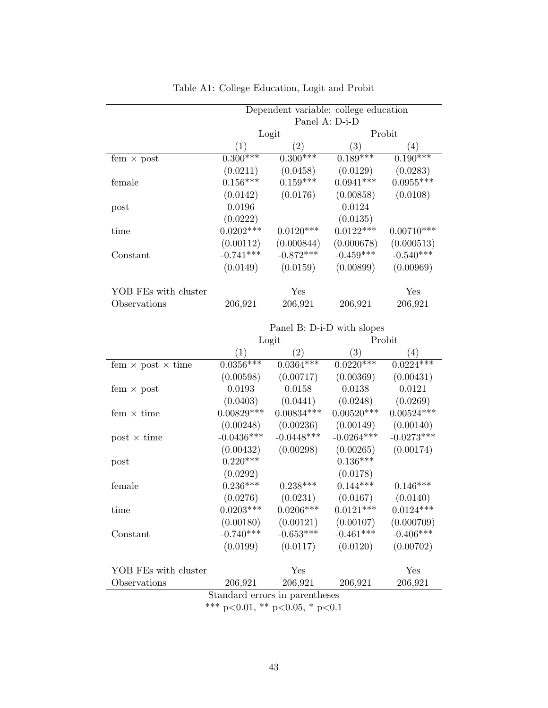|                      | Dependent variable: college education |                   |                   |              |
|----------------------|---------------------------------------|-------------------|-------------------|--------------|
|                      | Panel A: D-i-D                        |                   |                   |              |
|                      | Logit                                 |                   |                   | Probit       |
|                      | (1)                                   | $\left( 2\right)$ | $\left( 3\right)$ | (4)          |
| fem $\times$ post    | $0.300***$                            | $0.300***$        | $0.189***$        | $0.190***$   |
|                      | (0.0211)                              | (0.0458)          | (0.0129)          | (0.0283)     |
| female               | $0.156***$                            | $0.159***$        | $0.0941***$       | $0.0955***$  |
|                      | (0.0142)                              | (0.0176)          | (0.00858)         | (0.0108)     |
| post                 | 0.0196                                |                   | 0.0124            |              |
|                      | (0.0222)                              |                   | (0.0135)          |              |
| time                 | $0.0202***$                           | $0.0120***$       | $0.0122***$       | $0.00710***$ |
|                      | (0.00112)                             | (0.000844)        | (0.000678)        | (0.000513)   |
| Constant             | $-0.741***$                           | $-0.872***$       | $-0.459***$       | $-0.540***$  |
|                      | (0.0149)                              | (0.0159)          | (0.00899)         | (0.00969)    |
| YOB FEs with cluster |                                       | Yes               |                   | Yes          |
| Observations         | 206,921                               | 206,921           | 206,921           | 206,921      |

# Table A1: College Education, Logit and Probit

|                                 | Panel B: D-i-D with slopes |              |                   |              |  |  |
|---------------------------------|----------------------------|--------------|-------------------|--------------|--|--|
|                                 | Logit                      |              |                   | Probit       |  |  |
|                                 | (1)                        | (2)          | $\left( 3\right)$ | (4)          |  |  |
| fem $\times$ post $\times$ time | $0.0356***$                | $0.0364***$  | $0.0220***$       | $0.0224***$  |  |  |
|                                 | (0.00598)                  | (0.00717)    | (0.00369)         | (0.00431)    |  |  |
| fem $\times$ post               | 0.0193                     | 0.0158       | 0.0138            | 0.0121       |  |  |
|                                 | (0.0403)                   | (0.0441)     | (0.0248)          | (0.0269)     |  |  |
| fem $\times$ time               | $0.00829***$               | $0.00834***$ | $0.00520***$      | $0.00524***$ |  |  |
|                                 | (0.00248)                  | (0.00236)    | (0.00149)         | (0.00140)    |  |  |
| $post \times time$              | $-0.0436***$               | $-0.0448***$ | $-0.0264***$      | $-0.0273***$ |  |  |
|                                 | (0.00432)                  | (0.00298)    | (0.00265)         | (0.00174)    |  |  |
| post                            | $0.220***$                 |              | $0.136***$        |              |  |  |
|                                 | (0.0292)                   |              | (0.0178)          |              |  |  |
| female                          | $0.236***$                 | $0.238***$   | $0.144***$        | $0.146***$   |  |  |
|                                 | (0.0276)                   | (0.0231)     | (0.0167)          | (0.0140)     |  |  |
| time                            | $0.0203***$                | $0.0206***$  | $0.0121***$       | $0.0124***$  |  |  |
|                                 | (0.00180)                  | (0.00121)    | (0.00107)         | (0.000709)   |  |  |
| Constant                        | $-0.740***$                | $-0.653***$  | $-0.461***$       | $-0.406***$  |  |  |
|                                 | (0.0199)                   | (0.0117)     | (0.0120)          | (0.00702)    |  |  |
|                                 |                            |              |                   |              |  |  |
| YOB FEs with cluster            |                            | Yes          |                   | Yes          |  |  |
| Observations                    | 206,921                    | 206,921      | 206,921           | 206,921      |  |  |
| Standard errors in parentheses  |                            |              |                   |              |  |  |

<sup>\*\*\*</sup> p<0.01, \*\* p<0.05, \* p<0.1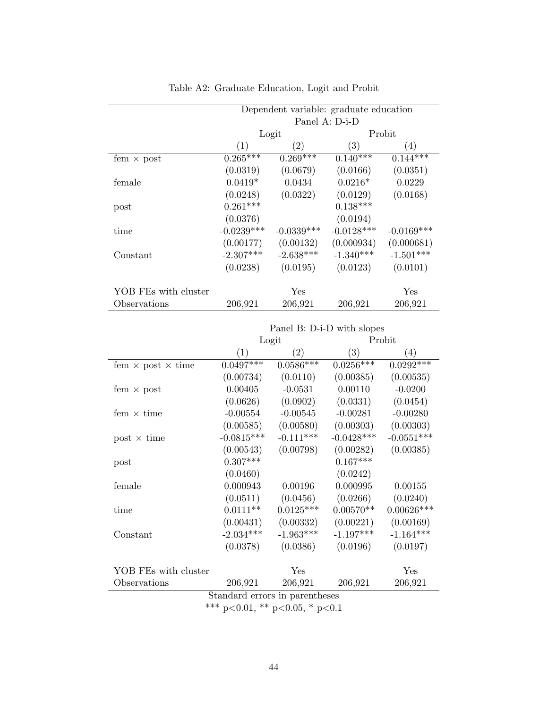|                      | Dependent variable: graduate education |                   |                   |              |  |
|----------------------|----------------------------------------|-------------------|-------------------|--------------|--|
|                      | Panel A: D-i-D                         |                   |                   |              |  |
|                      | Logit                                  |                   | Probit            |              |  |
|                      | $\left(1\right)$                       | $\left( 2\right)$ | $\left( 3\right)$ | (4)          |  |
| fem $\times$ post    | $0.265***$                             | $0.269***$        | $0.140***$        | $0.144***$   |  |
|                      | (0.0319)                               | (0.0679)          | (0.0166)          | (0.0351)     |  |
| female               | $0.0419*$                              | 0.0434            | $0.0216*$         | 0.0229       |  |
|                      | (0.0248)                               | (0.0322)          | (0.0129)          | (0.0168)     |  |
| post                 | $0.261***$                             |                   | $0.138***$        |              |  |
|                      | (0.0376)                               |                   | (0.0194)          |              |  |
| time                 | $-0.0239***$                           | $-0.0339***$      | $-0.0128***$      | $-0.0169***$ |  |
|                      | (0.00177)                              | (0.00132)         | (0.000934)        | (0.000681)   |  |
| Constant             | $-2.307***$                            | $-2.638***$       | $-1.340***$       | $-1.501***$  |  |
|                      | (0.0238)                               | (0.0195)          | (0.0123)          | (0.0101)     |  |
| YOB FEs with cluster |                                        | Yes               |                   | Yes          |  |
| Observations         | 206,921                                | 206,921           | 206,921           | 206,921      |  |

# Table A2: Graduate Education, Logit and Probit

|                                 | Panel B: D-i-D with slopes     |                   |                  |                  |  |
|---------------------------------|--------------------------------|-------------------|------------------|------------------|--|
|                                 | Logit                          |                   |                  | Probit           |  |
|                                 | (1)                            | $\left( 2\right)$ | $\left(3\right)$ | $\left(4\right)$ |  |
| fem $\times$ post $\times$ time | $0.0497***$                    | $0.0586***$       | $0.0256***$      | $0.0292***$      |  |
|                                 | (0.00734)                      | (0.0110)          | (0.00385)        | (0.00535)        |  |
| fem $\times$ post               | 0.00405                        | $-0.0531$         | 0.00110          | $-0.0200$        |  |
|                                 | (0.0626)                       | (0.0902)          | (0.0331)         | (0.0454)         |  |
| fem $\times$ time               | $-0.00554$                     | $-0.00545$        | $-0.00281$       | $-0.00280$       |  |
|                                 | (0.00585)                      | (0.00580)         | (0.00303)        | (0.00303)        |  |
| $post \times time$              | $-0.0815***$                   | $-0.111***$       | $-0.0428***$     | $-0.0551***$     |  |
|                                 | (0.00543)                      | (0.00798)         | (0.00282)        | (0.00385)        |  |
| post                            | $0.307***$                     |                   | $0.167***$       |                  |  |
|                                 | (0.0460)                       |                   | (0.0242)         |                  |  |
| female                          | 0.000943                       | 0.00196           | 0.000995         | 0.00155          |  |
|                                 | (0.0511)                       | (0.0456)          | (0.0266)         | (0.0240)         |  |
| time                            | $0.0111**$                     | $0.0125***$       | $0.00570**$      | $0.00626***$     |  |
|                                 | (0.00431)                      | (0.00332)         | (0.00221)        | (0.00169)        |  |
| Constant                        | $-2.034***$                    | $-1.963***$       | $-1.197***$      | $-1.164***$      |  |
|                                 | (0.0378)                       | (0.0386)          | (0.0196)         | (0.0197)         |  |
|                                 |                                |                   |                  |                  |  |
| YOB FEs with cluster            |                                | Yes               |                  | Yes              |  |
| Observations                    | 206,921                        | 206,921           | 206,921          | 206,921          |  |
|                                 | Standard errors in parentheses |                   |                  |                  |  |

<sup>\*\*\*</sup> p<0.01, \*\* p<0.05, \* p<0.1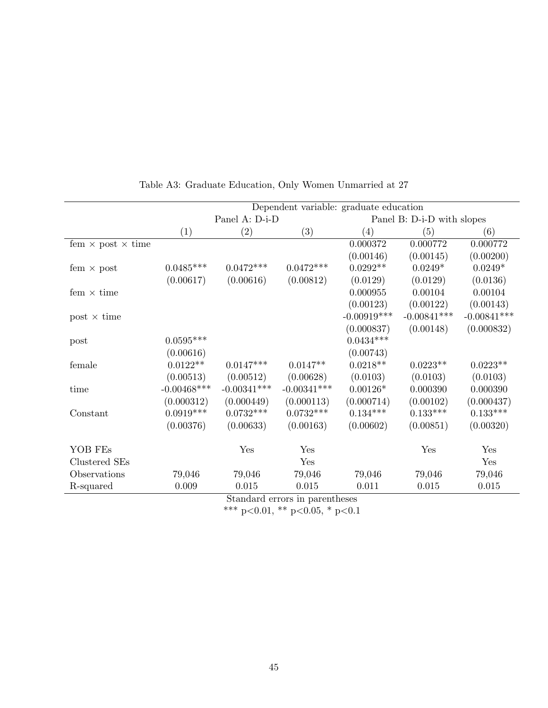|                                                                   | Dependent variable: graduate education |                |               |                            |               |               |
|-------------------------------------------------------------------|----------------------------------------|----------------|---------------|----------------------------|---------------|---------------|
|                                                                   |                                        | Panel A: D-i-D |               | Panel B: D-i-D with slopes |               |               |
|                                                                   | (1)                                    | (2)            | (3)           | (4)                        | (5)           | (6)           |
| fem $\times$ post $\times$ time                                   |                                        |                |               | 0.000372                   | 0.000772      | 0.000772      |
|                                                                   |                                        |                |               | (0.00146)                  | (0.00145)     | (0.00200)     |
| fem $\times$ post                                                 | $0.0485***$                            | $0.0472***$    | $0.0472***$   | $0.0292**$                 | $0.0249*$     | $0.0249*$     |
|                                                                   | (0.00617)                              | (0.00616)      | (0.00812)     | (0.0129)                   | (0.0129)      | (0.0136)      |
| fem $\times$ time                                                 |                                        |                |               | 0.000955                   | 0.00104       | 0.00104       |
|                                                                   |                                        |                |               | (0.00123)                  | (0.00122)     | (0.00143)     |
| $post \times time$                                                |                                        |                |               | $-0.00919***$              | $-0.00841***$ | $-0.00841***$ |
|                                                                   |                                        |                |               | (0.000837)                 | (0.00148)     | (0.000832)    |
| post                                                              | $0.0595***$                            |                |               | $0.0434***$                |               |               |
|                                                                   | (0.00616)                              |                |               | (0.00743)                  |               |               |
| female                                                            | $0.0122**$                             | $0.0147***$    | $0.0147**$    | $0.0218**$                 | $0.0223**$    | $0.0223**$    |
|                                                                   | (0.00513)                              | (0.00512)      | (0.00628)     | (0.0103)                   | (0.0103)      | (0.0103)      |
| time                                                              | $-0.00468$ ***                         | $-0.00341***$  | $-0.00341***$ | $0.00126*$                 | 0.000390      | 0.000390      |
|                                                                   | (0.000312)                             | (0.000449)     | (0.000113)    | (0.000714)                 | (0.00102)     | (0.000437)    |
| Constant                                                          | $0.0919***$                            | $0.0732***$    | $0.0732***$   | $0.134***$                 | $0.133***$    | $0.133***$    |
|                                                                   | (0.00376)                              | (0.00633)      | (0.00163)     | (0.00602)                  | (0.00851)     | (0.00320)     |
|                                                                   |                                        |                |               |                            |               |               |
| YOB FEs                                                           |                                        | Yes            | Yes           |                            | Yes           | Yes           |
| Clustered SEs                                                     |                                        |                | Yes           |                            |               | Yes           |
| Observations                                                      | 79,046                                 | 79,046         | 79,046        | 79,046                     | 79,046        | 79,046        |
| R-squared                                                         | 0.009                                  | 0.015          | 0.015         | 0.011                      | 0.015         | 0.015         |
| $Q_{\text{tendand}}$ $Q_{\text{tend}}$ $\ldots$ $Q_{\text{tend}}$ |                                        |                |               |                            |               |               |

Table A3: Graduate Education, Only Women Unmarried at 27

Standard errors in parentheses

\*\*\* p<0.01, \*\* p<0.05, \* p<0.1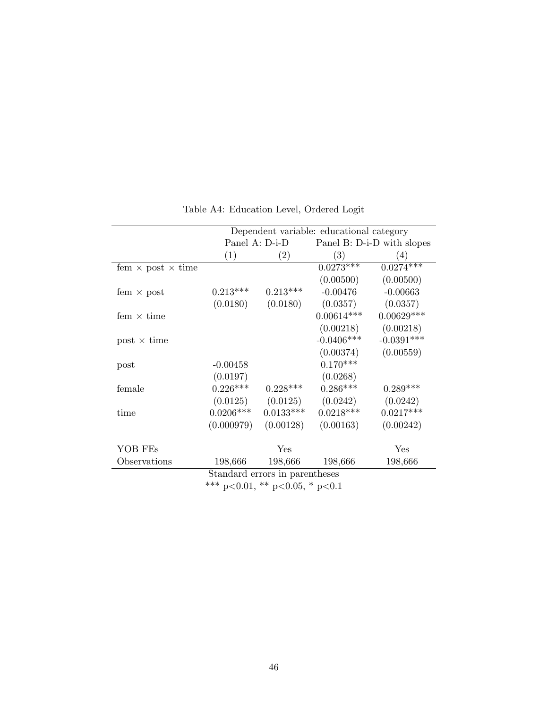|                                 | Dependent variable: educational category     |             |              |              |
|---------------------------------|----------------------------------------------|-------------|--------------|--------------|
|                                 | Panel A: D-i-D<br>Panel B: D-i-D with slopes |             |              |              |
|                                 | (1)                                          | (2)         | (3)          | (4)          |
| fem $\times$ post $\times$ time |                                              |             | $0.0273***$  | $0.0274***$  |
|                                 |                                              |             | (0.00500)    | (0.00500)    |
| fem $\times$ post               | $0.213***$                                   | $0.213***$  | $-0.00476$   | $-0.00663$   |
|                                 | (0.0180)                                     | (0.0180)    | (0.0357)     | (0.0357)     |
| fem $\times$ time               |                                              |             | $0.00614***$ | $0.00629***$ |
|                                 |                                              |             | (0.00218)    | (0.00218)    |
| $post \times time$              |                                              |             | $-0.0406***$ | $-0.0391***$ |
|                                 |                                              |             | (0.00374)    | (0.00559)    |
| post                            | $-0.00458$                                   |             | $0.170***$   |              |
|                                 | (0.0197)                                     |             | (0.0268)     |              |
| female                          | $0.226***$                                   | $0.228***$  | $0.286***$   | $0.289***$   |
|                                 | (0.0125)                                     | (0.0125)    | (0.0242)     | (0.0242)     |
| time                            | $0.0206***$                                  | $0.0133***$ | $0.0218***$  | $0.0217***$  |
|                                 | (0.000979)                                   | (0.00128)   | (0.00163)    | (0.00242)    |
|                                 |                                              |             |              |              |
| YOB FEs                         |                                              | Yes         |              | Yes          |
| Observations                    | 198,666                                      | 198,666     | 198,666      | 198,666      |
| Standard errors in parentheses  |                                              |             |              |              |
| *** p<0.01, ** p<0.05, * p<0.1  |                                              |             |              |              |

Table A4: Education Level, Ordered Logit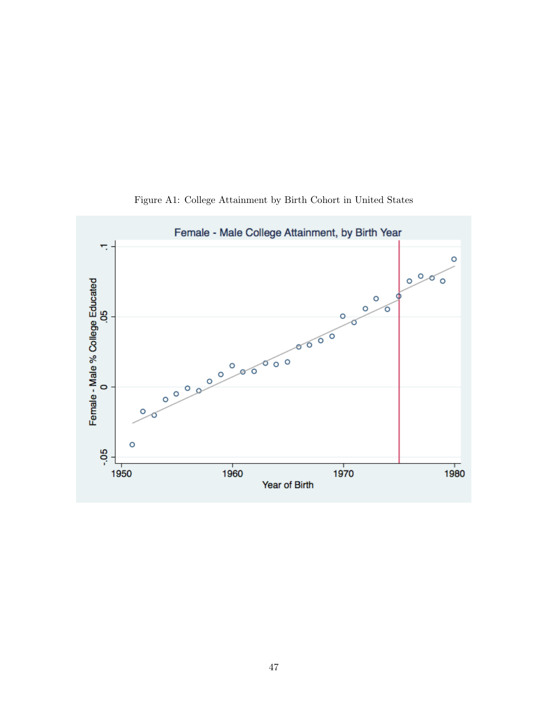

Figure A1: College Attainment by Birth Cohort in United States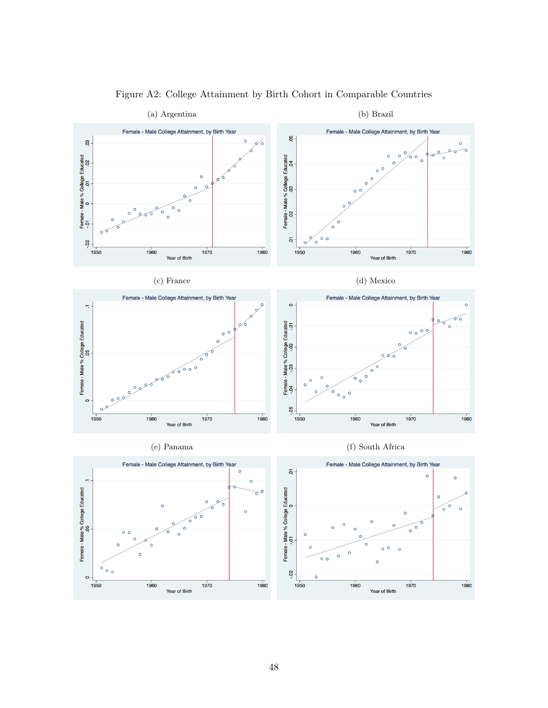

Figure A2: College Attainment by Birth Cohort in Comparable Countries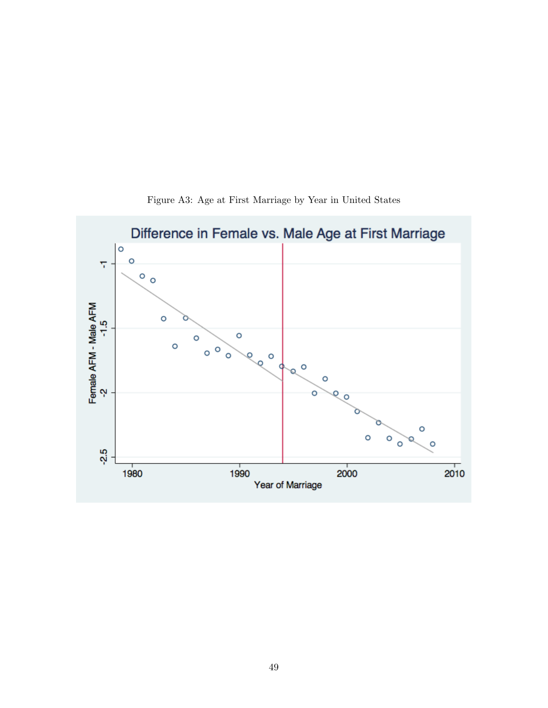

Figure A3: Age at First Marriage by Year in United States